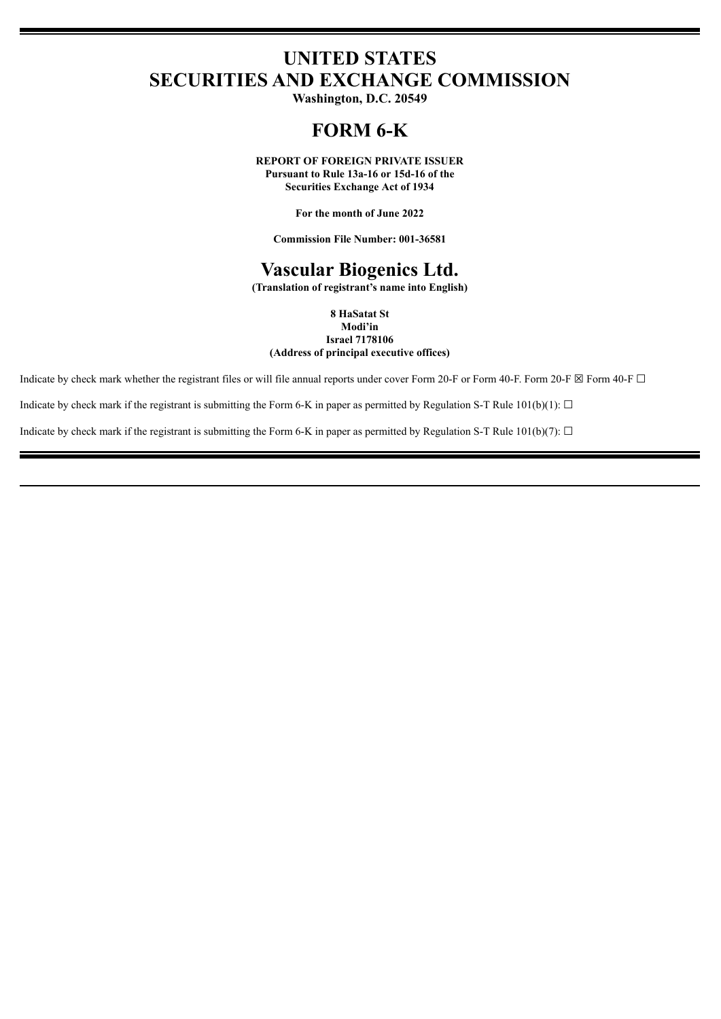# **UNITED STATES SECURITIES AND EXCHANGE COMMISSION**

**Washington, D.C. 20549**

# **FORM 6-K**

**REPORT OF FOREIGN PRIVATE ISSUER Pursuant to Rule 13a-16 or 15d-16 of the**

**Securities Exchange Act of 1934**

**For the month of June 2022**

**Commission File Number: 001-36581**

# **Vascular Biogenics Ltd.**

**(Translation of registrant's name into English)**

**8 HaSatat St Modi'in Israel 7178106 (Address of principal executive offices)**

Indicate by check mark whether the registrant files or will file annual reports under cover Form 20-F or Form 40-F. Form 20-F  $\boxtimes$  Form 40-F  $\Box$ 

Indicate by check mark if the registrant is submitting the Form 6-K in paper as permitted by Regulation S-T Rule 101(b)(1):  $\Box$ 

Indicate by check mark if the registrant is submitting the Form 6-K in paper as permitted by Regulation S-T Rule 101(b)(7):  $\Box$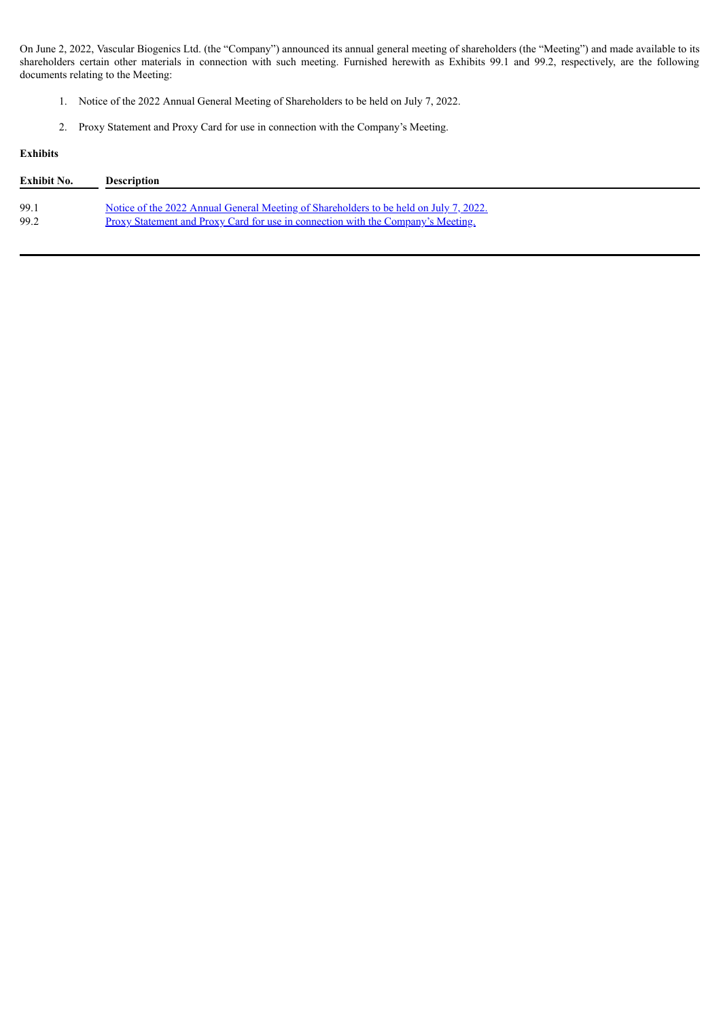On June 2, 2022, Vascular Biogenics Ltd. (the "Company") announced its annual general meeting of shareholders (the "Meeting") and made available to its shareholders certain other materials in connection with such meeting. Furnished herewith as Exhibits 99.1 and 99.2, respectively, are the following documents relating to the Meeting:

- 1. Notice of the 2022 Annual General Meeting of Shareholders to be held on July 7, 2022.
- 2. Proxy Statement and Proxy Card for use in connection with the Company's Meeting.

# **Exhibits**

| Exhibit No. | <b>Description</b>                                                                    |
|-------------|---------------------------------------------------------------------------------------|
| 99.1        | Notice of the 2022 Annual General Meeting of Shareholders to be held on July 7, 2022. |
| 99.2        | Proxy Statement and Proxy Card for use in connection with the Company's Meeting.      |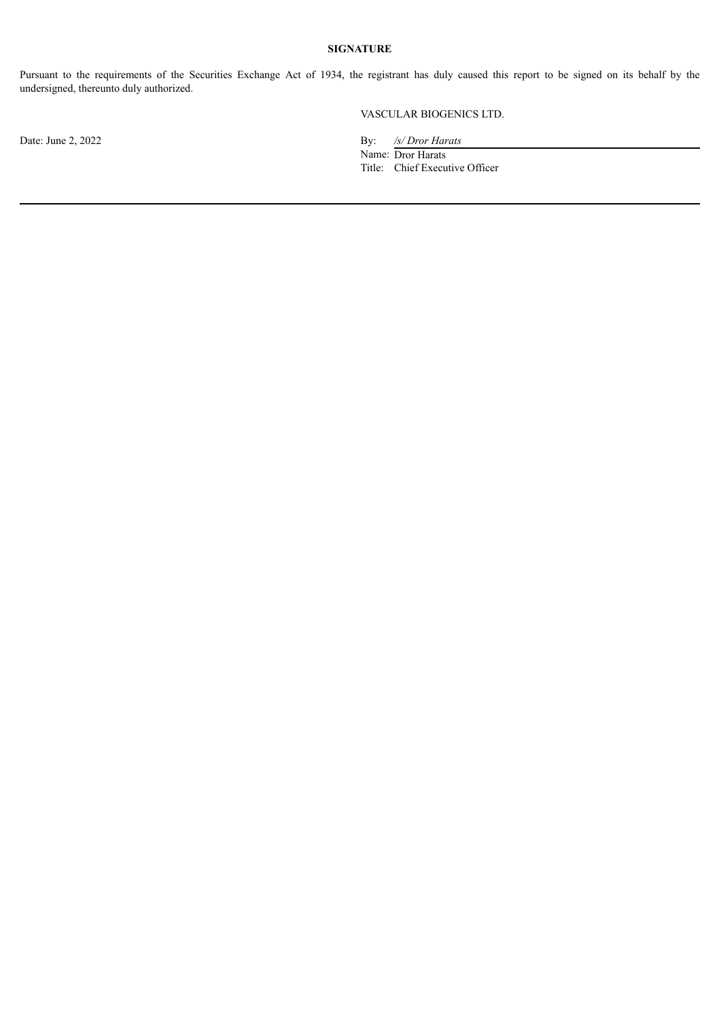# **SIGNATURE**

Pursuant to the requirements of the Securities Exchange Act of 1934, the registrant has duly caused this report to be signed on its behalf by the undersigned, thereunto duly authorized.

# VASCULAR BIOGENICS LTD.

Date: June 2, 2022 By: */s/ Dror Harats*

Name: Dror Harats Title: Chief Executive Officer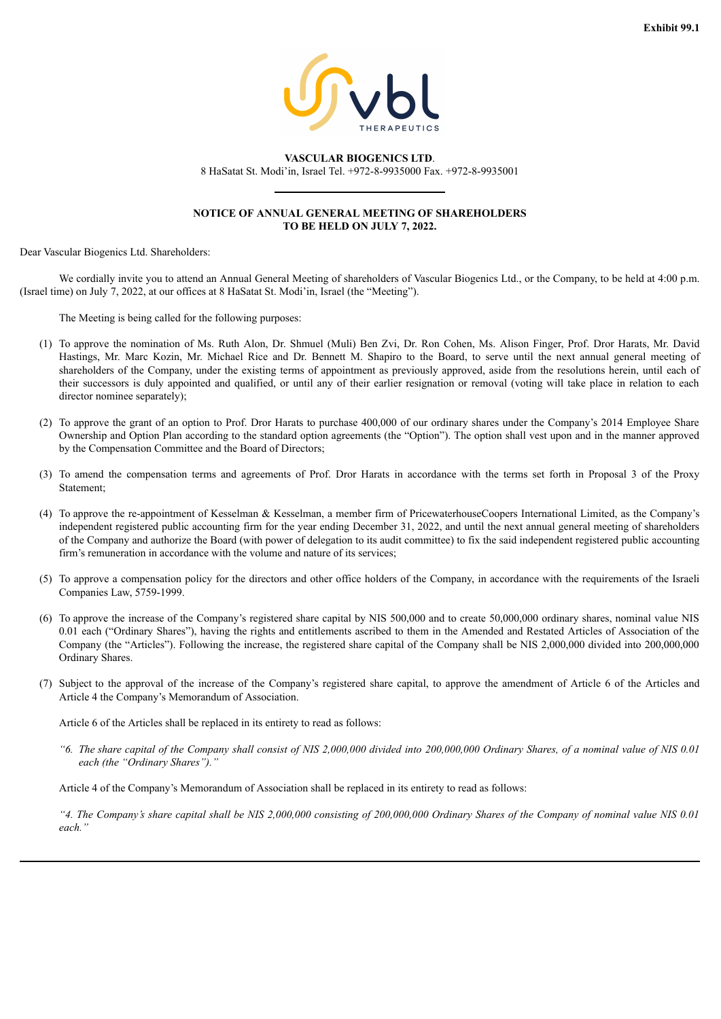

<span id="page-3-0"></span>**VASCULAR BIOGENICS LTD**. 8 HaSatat St. Modi'in, Israel Tel. +972-8-9935000 Fax. +972-8-9935001

## **NOTICE OF ANNUAL GENERAL MEETING OF SHAREHOLDERS TO BE HELD ON JULY 7, 2022.**

Dear Vascular Biogenics Ltd. Shareholders:

We cordially invite you to attend an Annual General Meeting of shareholders of Vascular Biogenics Ltd., or the Company, to be held at 4:00 p.m. (Israel time) on July 7, 2022, at our offices at 8 HaSatat St. Modi'in, Israel (the "Meeting").

The Meeting is being called for the following purposes:

- (1) To approve the nomination of Ms. Ruth Alon, Dr. Shmuel (Muli) Ben Zvi, Dr. Ron Cohen, Ms. Alison Finger, Prof. Dror Harats, Mr. David Hastings, Mr. Marc Kozin, Mr. Michael Rice and Dr. Bennett M. Shapiro to the Board, to serve until the next annual general meeting of shareholders of the Company, under the existing terms of appointment as previously approved, aside from the resolutions herein, until each of their successors is duly appointed and qualified, or until any of their earlier resignation or removal (voting will take place in relation to each director nominee separately);
- (2) To approve the grant of an option to Prof. Dror Harats to purchase 400,000 of our ordinary shares under the Company's 2014 Employee Share Ownership and Option Plan according to the standard option agreements (the "Option"). The option shall vest upon and in the manner approved by the Compensation Committee and the Board of Directors;
- (3) To amend the compensation terms and agreements of Prof. Dror Harats in accordance with the terms set forth in Proposal 3 of the Proxy Statement;
- (4) To approve the re-appointment of Kesselman & Kesselman, a member firm of PricewaterhouseCoopers International Limited, as the Company's independent registered public accounting firm for the year ending December 31, 2022, and until the next annual general meeting of shareholders of the Company and authorize the Board (with power of delegation to its audit committee) to fix the said independent registered public accounting firm's remuneration in accordance with the volume and nature of its services;
- (5) To approve a compensation policy for the directors and other office holders of the Company, in accordance with the requirements of the Israeli Companies Law, 5759-1999.
- (6) To approve the increase of the Company's registered share capital by NIS 500,000 and to create 50,000,000 ordinary shares, nominal value NIS 0.01 each ("Ordinary Shares"), having the rights and entitlements ascribed to them in the Amended and Restated Articles of Association of the Company (the "Articles"). Following the increase, the registered share capital of the Company shall be NIS 2,000,000 divided into 200,000,000 Ordinary Shares.
- (7) Subject to the approval of the increase of the Company's registered share capital, to approve the amendment of Article 6 of the Articles and Article 4 the Company's Memorandum of Association.

Article 6 of the Articles shall be replaced in its entirety to read as follows:

"6. The share capital of the Company shall consist of NIS 2,000,000 divided into 200,000,000 Ordinary Shares, of a nominal value of NIS 0.01 *each (the "Ordinary Shares")."*

Article 4 of the Company's Memorandum of Association shall be replaced in its entirety to read as follows:

"4. The Company's share capital shall be NIS 2,000,000 consisting of 200,000,000 Ordinary Shares of the Company of nominal value NIS 0.01 *each."*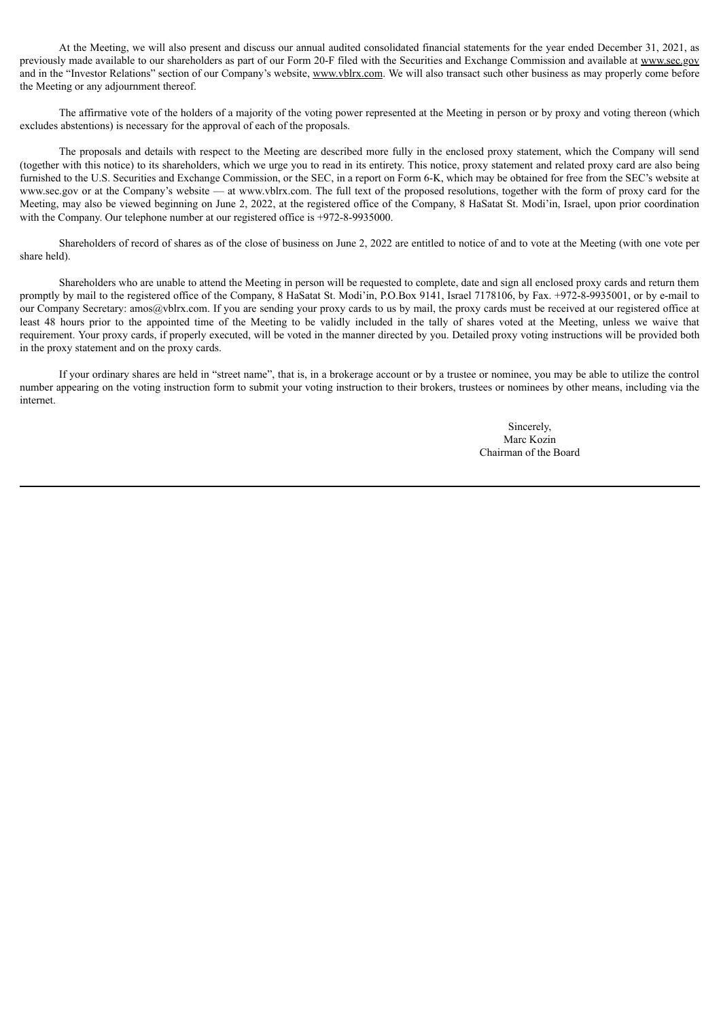At the Meeting, we will also present and discuss our annual audited consolidated financial statements for the year ended December 31, 2021, as previously made available to our shareholders as part of our Form 20-F filed with the Securities and Exchange Commission and available at www.sec.gov and in the "Investor Relations" section of our Company's website, www.vblrx.com. We will also transact such other business as may properly come before the Meeting or any adjournment thereof.

The affirmative vote of the holders of a majority of the voting power represented at the Meeting in person or by proxy and voting thereon (which excludes abstentions) is necessary for the approval of each of the proposals.

The proposals and details with respect to the Meeting are described more fully in the enclosed proxy statement, which the Company will send (together with this notice) to its shareholders, which we urge you to read in its entirety. This notice, proxy statement and related proxy card are also being furnished to the U.S. Securities and Exchange Commission, or the SEC, in a report on Form 6-K, which may be obtained for free from the SEC's website at www.sec.gov or at the Company's website — at www.vblrx.com. The full text of the proposed resolutions, together with the form of proxy card for the Meeting, may also be viewed beginning on June 2, 2022, at the registered office of the Company, 8 HaSatat St. Modi'in, Israel, upon prior coordination with the Company. Our telephone number at our registered office is  $+972-8-9935000$ .

Shareholders of record of shares as of the close of business on June 2, 2022 are entitled to notice of and to vote at the Meeting (with one vote per share held).

Shareholders who are unable to attend the Meeting in person will be requested to complete, date and sign all enclosed proxy cards and return them promptly by mail to the registered office of the Company, 8 HaSatat St. Modi'in, P.O.Box 9141, Israel 7178106, by Fax. +972-8-9935001, or by e-mail to our Company Secretary: amos@vblrx.com. If you are sending your proxy cards to us by mail, the proxy cards must be received at our registered office at least 48 hours prior to the appointed time of the Meeting to be validly included in the tally of shares voted at the Meeting, unless we waive that requirement. Your proxy cards, if properly executed, will be voted in the manner directed by you. Detailed proxy voting instructions will be provided both in the proxy statement and on the proxy cards.

If your ordinary shares are held in "street name", that is, in a brokerage account or by a trustee or nominee, you may be able to utilize the control number appearing on the voting instruction form to submit your voting instruction to their brokers, trustees or nominees by other means, including via the internet.

> Sincerely, Marc Kozin Chairman of the Board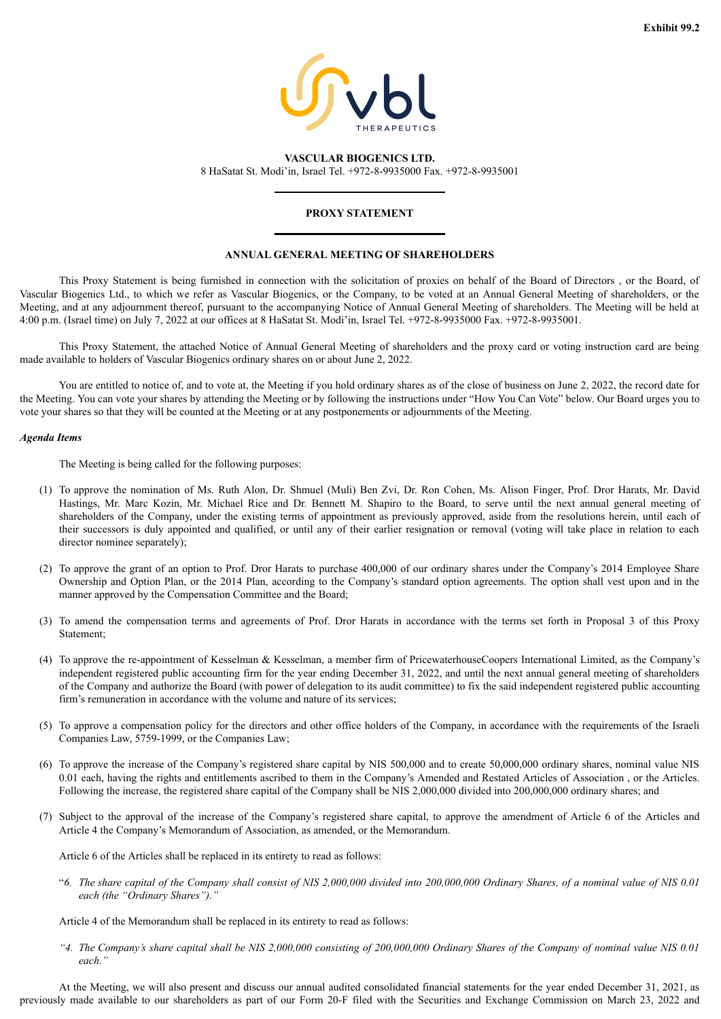

<span id="page-5-0"></span>**VASCULAR BIOGENICS LTD.** 8 HaSatat St. Modi'in, Israel Tel. +972-8-9935000 Fax. +972-8-9935001

# **PROXY STATEMENT**

### **ANNUAL GENERAL MEETING OF SHAREHOLDERS**

This Proxy Statement is being furnished in connection with the solicitation of proxies on behalf of the Board of Directors , or the Board, of Vascular Biogenics Ltd., to which we refer as Vascular Biogenics, or the Company, to be voted at an Annual General Meeting of shareholders, or the Meeting, and at any adjournment thereof, pursuant to the accompanying Notice of Annual General Meeting of shareholders. The Meeting will be held at 4:00 p.m. (Israel time) on July 7, 2022 at our offices at 8 HaSatat St. Modi'in, Israel Tel. +972-8-9935000 Fax. +972-8-9935001.

This Proxy Statement, the attached Notice of Annual General Meeting of shareholders and the proxy card or voting instruction card are being made available to holders of Vascular Biogenics ordinary shares on or about June 2, 2022.

You are entitled to notice of, and to vote at, the Meeting if you hold ordinary shares as of the close of business on June 2, 2022, the record date for the Meeting. You can vote your shares by attending the Meeting or by following the instructions under "How You Can Vote" below. Our Board urges you to vote your shares so that they will be counted at the Meeting or at any postponements or adjournments of the Meeting.

### *Agenda Items*

The Meeting is being called for the following purposes:

- (1) To approve the nomination of Ms. Ruth Alon, Dr. Shmuel (Muli) Ben Zvi, Dr. Ron Cohen, Ms. Alison Finger, Prof. Dror Harats, Mr. David Hastings, Mr. Marc Kozin, Mr. Michael Rice and Dr. Bennett M. Shapiro to the Board, to serve until the next annual general meeting of shareholders of the Company, under the existing terms of appointment as previously approved, aside from the resolutions herein, until each of their successors is duly appointed and qualified, or until any of their earlier resignation or removal (voting will take place in relation to each director nominee separately);
- (2) To approve the grant of an option to Prof. Dror Harats to purchase 400,000 of our ordinary shares under the Company's 2014 Employee Share Ownership and Option Plan, or the 2014 Plan, according to the Company's standard option agreements. The option shall vest upon and in the manner approved by the Compensation Committee and the Board;
- (3) To amend the compensation terms and agreements of Prof. Dror Harats in accordance with the terms set forth in Proposal 3 of this Proxy Statement;
- (4) To approve the re-appointment of Kesselman & Kesselman, a member firm of PricewaterhouseCoopers International Limited, as the Company's independent registered public accounting firm for the year ending December 31, 2022, and until the next annual general meeting of shareholders of the Company and authorize the Board (with power of delegation to its audit committee) to fix the said independent registered public accounting firm's remuneration in accordance with the volume and nature of its services;
- (5) To approve a compensation policy for the directors and other office holders of the Company, in accordance with the requirements of the Israeli Companies Law, 5759-1999, or the Companies Law;
- (6) To approve the increase of the Company's registered share capital by NIS 500,000 and to create 50,000,000 ordinary shares, nominal value NIS 0.01 each, having the rights and entitlements ascribed to them in the Company's Amended and Restated Articles of Association , or the Articles. Following the increase, the registered share capital of the Company shall be NIS 2,000,000 divided into 200,000,000 ordinary shares; and
- (7) Subject to the approval of the increase of the Company's registered share capital, to approve the amendment of Article 6 of the Articles and Article 4 the Company's Memorandum of Association, as amended, or the Memorandum.

Article 6 of the Articles shall be replaced in its entirety to read as follows:

"6. The share capital of the Company shall consist of NIS 2,000,000 divided into 200,000,000 Ordinary Shares, of a nominal value of NIS 0.01 *each (the "Ordinary Shares")."*

Article 4 of the Memorandum shall be replaced in its entirety to read as follows:

"4. The Company's share capital shall be NIS 2,000,000 consisting of 200,000,000 Ordinary Shares of the Company of nominal value NIS 0.01 *each."*

At the Meeting, we will also present and discuss our annual audited consolidated financial statements for the year ended December 31, 2021, as previously made available to our shareholders as part of our Form 20-F filed with the Securities and Exchange Commission on March 23, 2022 and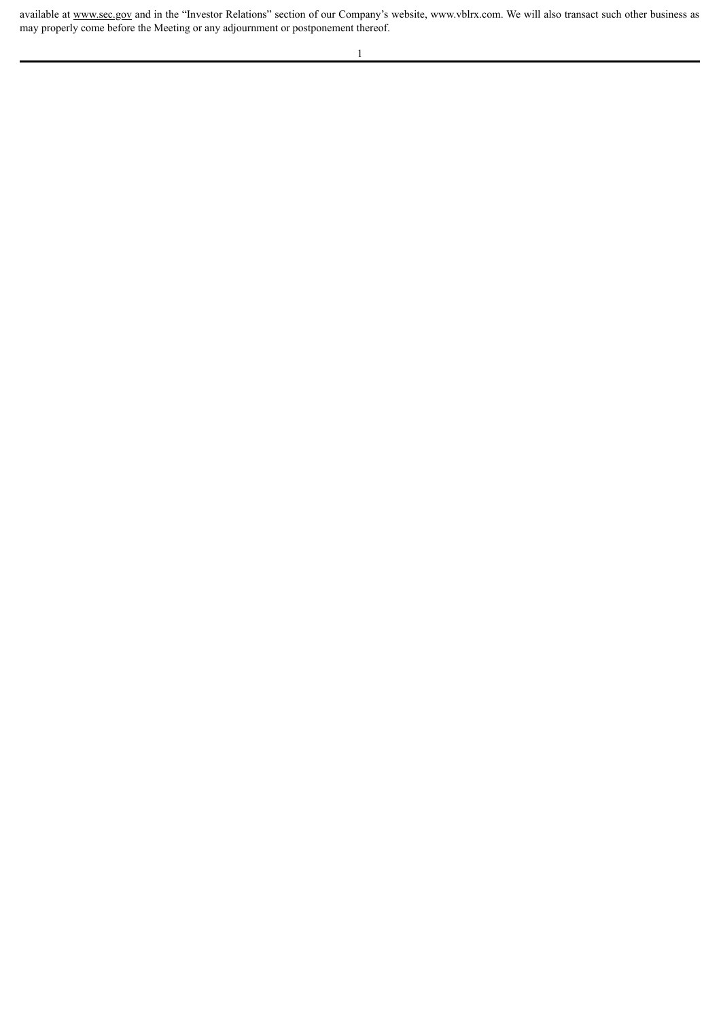available at www.sec.gov and in the "Investor Relations" section of our Company's website, www.vblrx.com. We will also transact such other business as may properly come before the Meeting or any adjournment or postponement thereof.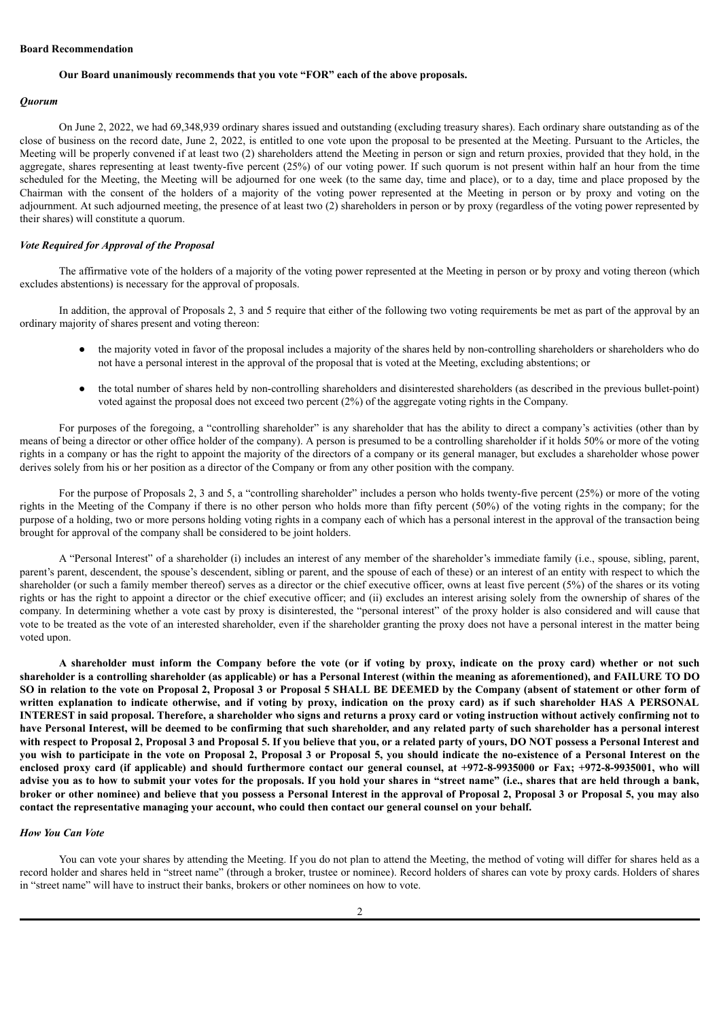### **Board Recommendation**

### **Our Board unanimously recommends that you vote "FOR" each of the above proposals.**

### *Quorum*

On June 2, 2022, we had 69,348,939 ordinary shares issued and outstanding (excluding treasury shares). Each ordinary share outstanding as of the close of business on the record date, June 2, 2022, is entitled to one vote upon the proposal to be presented at the Meeting. Pursuant to the Articles, the Meeting will be properly convened if at least two (2) shareholders attend the Meeting in person or sign and return proxies, provided that they hold, in the aggregate, shares representing at least twenty-five percent  $(25%)$  of our voting power. If such quorum is not present within half an hour from the time scheduled for the Meeting, the Meeting will be adjourned for one week (to the same day, time and place), or to a day, time and place proposed by the Chairman with the consent of the holders of a majority of the voting power represented at the Meeting in person or by proxy and voting on the adjournment. At such adjourned meeting, the presence of at least two (2) shareholders in person or by proxy (regardless of the voting power represented by their shares) will constitute a quorum.

### *Vote Required for Approval of the Proposal*

The affirmative vote of the holders of a majority of the voting power represented at the Meeting in person or by proxy and voting thereon (which excludes abstentions) is necessary for the approval of proposals.

In addition, the approval of Proposals 2, 3 and 5 require that either of the following two voting requirements be met as part of the approval by an ordinary majority of shares present and voting thereon:

- the majority voted in favor of the proposal includes a majority of the shares held by non-controlling shareholders or shareholders who do not have a personal interest in the approval of the proposal that is voted at the Meeting, excluding abstentions; or
- the total number of shares held by non-controlling shareholders and disinterested shareholders (as described in the previous bullet-point) voted against the proposal does not exceed two percent (2%) of the aggregate voting rights in the Company.

For purposes of the foregoing, a "controlling shareholder" is any shareholder that has the ability to direct a company's activities (other than by means of being a director or other office holder of the company). A person is presumed to be a controlling shareholder if it holds 50% or more of the voting rights in a company or has the right to appoint the majority of the directors of a company or its general manager, but excludes a shareholder whose power derives solely from his or her position as a director of the Company or from any other position with the company.

For the purpose of Proposals 2, 3 and 5, a "controlling shareholder" includes a person who holds twenty-five percent (25%) or more of the voting rights in the Meeting of the Company if there is no other person who holds more than fifty percent (50%) of the voting rights in the company; for the purpose of a holding, two or more persons holding voting rights in a company each of which has a personal interest in the approval of the transaction being brought for approval of the company shall be considered to be joint holders.

A "Personal Interest" of a shareholder (i) includes an interest of any member of the shareholder's immediate family (i.e., spouse, sibling, parent, parent's parent, descendent, the spouse's descendent, sibling or parent, and the spouse of each of these) or an interest of an entity with respect to which the shareholder (or such a family member thereof) serves as a director or the chief executive officer, owns at least five percent (5%) of the shares or its voting rights or has the right to appoint a director or the chief executive officer; and (ii) excludes an interest arising solely from the ownership of shares of the company. In determining whether a vote cast by proxy is disinterested, the "personal interest" of the proxy holder is also considered and will cause that vote to be treated as the vote of an interested shareholder, even if the shareholder granting the proxy does not have a personal interest in the matter being voted upon.

A shareholder must inform the Company before the vote (or if voting by proxy, indicate on the proxy card) whether or not such shareholder is a controlling shareholder (as applicable) or has a Personal Interest (within the meaning as aforementioned), and FAILURE TO DO SO in relation to the vote on Proposal 2, Proposal 3 or Proposal 5 SHALL BE DEEMED by the Company (absent of statement or other form of written explanation to indicate otherwise, and if voting by proxy, indication on the proxy card) as if such shareholder HAS A PERSONAL INTEREST in said proposal. Therefore, a shareholder who signs and returns a proxy card or voting instruction without actively confirming not to have Personal Interest, will be deemed to be confirming that such shareholder, and any related party of such shareholder has a personal interest with respect to Proposal 2, Proposal 3 and Proposal 5. If you believe that you, or a related party of yours, DO NOT possess a Personal Interest and you wish to participate in the vote on Proposal 2, Proposal 3 or Proposal 5, you should indicate the no-existence of a Personal Interest on the enclosed proxy card (if applicable) and should furthermore contact our general counsel, at +972-8-9935000 or Fax; +972-8-9935001, who will advise you as to how to submit your votes for the proposals. If you hold your shares in "street name" (i.e., shares that are held through a bank, broker or other nominee) and believe that you possess a Personal Interest in the approval of Proposal 2, Proposal 3 or Proposal 5, you may also **contact the representative managing your account, who could then contact our general counsel on your behalf.**

### *How You Can Vote*

You can vote your shares by attending the Meeting. If you do not plan to attend the Meeting, the method of voting will differ for shares held as a record holder and shares held in "street name" (through a broker, trustee or nominee). Record holders of shares can vote by proxy cards. Holders of shares in "street name" will have to instruct their banks, brokers or other nominees on how to vote.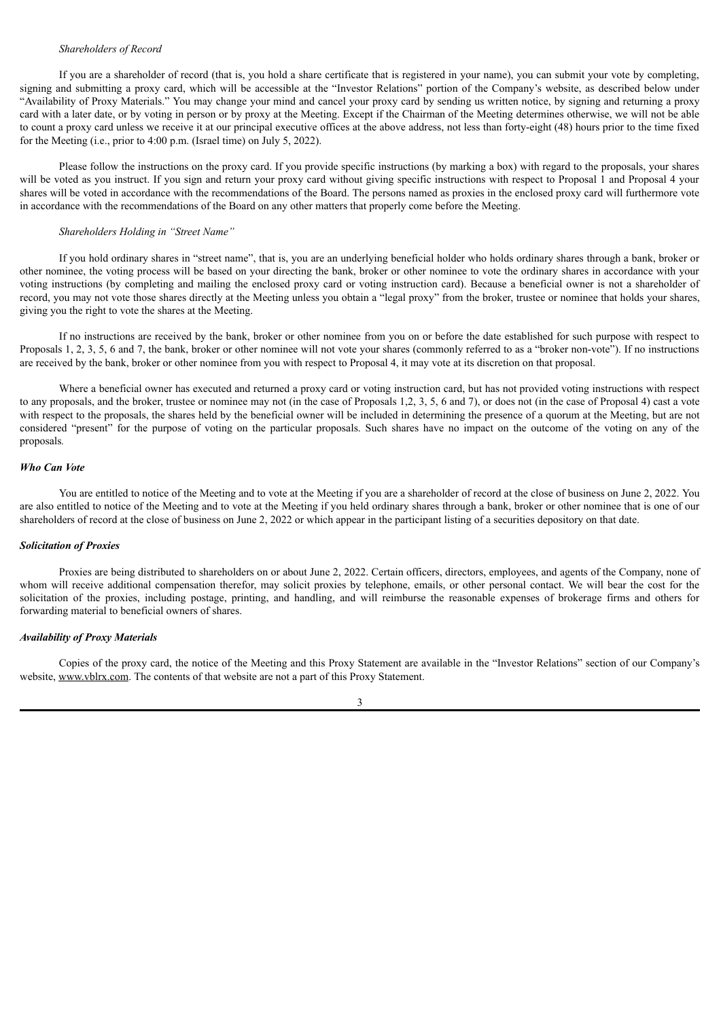# *Shareholders of Record*

If you are a shareholder of record (that is, you hold a share certificate that is registered in your name), you can submit your vote by completing, signing and submitting a proxy card, which will be accessible at the "Investor Relations" portion of the Company's website, as described below under "Availability of Proxy Materials." You may change your mind and cancel your proxy card by sending us written notice, by signing and returning a proxy card with a later date, or by voting in person or by proxy at the Meeting. Except if the Chairman of the Meeting determines otherwise, we will not be able to count a proxy card unless we receive it at our principal executive offices at the above address, not less than forty-eight (48) hours prior to the time fixed for the Meeting (i.e., prior to 4:00 p.m. (Israel time) on July 5, 2022).

Please follow the instructions on the proxy card. If you provide specific instructions (by marking a box) with regard to the proposals, your shares will be voted as you instruct. If you sign and return your proxy card without giving specific instructions with respect to Proposal 1 and Proposal 4 your shares will be voted in accordance with the recommendations of the Board. The persons named as proxies in the enclosed proxy card will furthermore vote in accordance with the recommendations of the Board on any other matters that properly come before the Meeting.

# *Shareholders Holding in "Street Name"*

If you hold ordinary shares in "street name", that is, you are an underlying beneficial holder who holds ordinary shares through a bank, broker or other nominee, the voting process will be based on your directing the bank, broker or other nominee to vote the ordinary shares in accordance with your voting instructions (by completing and mailing the enclosed proxy card or voting instruction card). Because a beneficial owner is not a shareholder of record, you may not vote those shares directly at the Meeting unless you obtain a "legal proxy" from the broker, trustee or nominee that holds your shares, giving you the right to vote the shares at the Meeting.

If no instructions are received by the bank, broker or other nominee from you on or before the date established for such purpose with respect to Proposals 1, 2, 3, 5, 6 and 7, the bank, broker or other nominee will not vote your shares (commonly referred to as a "broker non-vote"). If no instructions are received by the bank, broker or other nominee from you with respect to Proposal 4, it may vote at its discretion on that proposal.

Where a beneficial owner has executed and returned a proxy card or voting instruction card, but has not provided voting instructions with respect to any proposals, and the broker, trustee or nominee may not (in the case of Proposals 1,2, 3, 5, 6 and 7), or does not (in the case of Proposal 4) cast a vote with respect to the proposals, the shares held by the beneficial owner will be included in determining the presence of a quorum at the Meeting, but are not considered "present" for the purpose of voting on the particular proposals. Such shares have no impact on the outcome of the voting on any of the proposals*.*

#### *Who Can Vote*

You are entitled to notice of the Meeting and to vote at the Meeting if you are a shareholder of record at the close of business on June 2, 2022. You are also entitled to notice of the Meeting and to vote at the Meeting if you held ordinary shares through a bank, broker or other nominee that is one of our shareholders of record at the close of business on June 2, 2022 or which appear in the participant listing of a securities depository on that date.

#### *Solicitation of Proxies*

Proxies are being distributed to shareholders on or about June 2, 2022. Certain officers, directors, employees, and agents of the Company, none of whom will receive additional compensation therefor, may solicit proxies by telephone, emails, or other personal contact. We will bear the cost for the solicitation of the proxies, including postage, printing, and handling, and will reimburse the reasonable expenses of brokerage firms and others for forwarding material to beneficial owners of shares.

#### *Availability of Proxy Materials*

Copies of the proxy card, the notice of the Meeting and this Proxy Statement are available in the "Investor Relations" section of our Company's website, www.vblrx.com. The contents of that website are not a part of this Proxy Statement.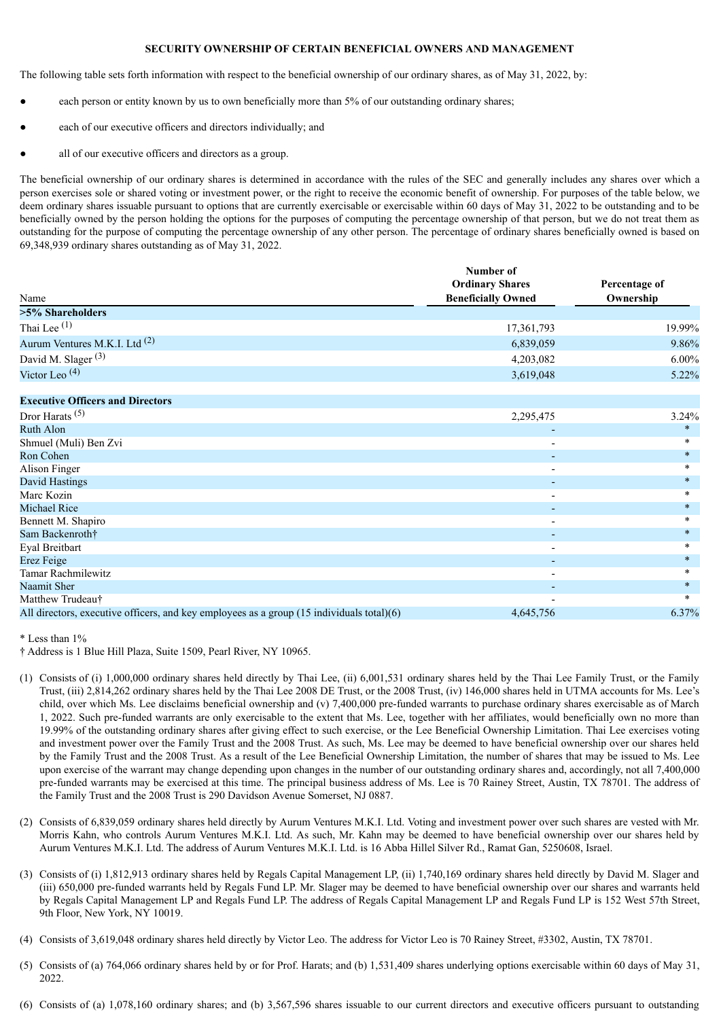### **SECURITY OWNERSHIP OF CERTAIN BENEFICIAL OWNERS AND MANAGEMENT**

The following table sets forth information with respect to the beneficial ownership of our ordinary shares, as of May 31, 2022, by:

- each person or entity known by us to own beneficially more than 5% of our outstanding ordinary shares;
- each of our executive officers and directors individually; and
- all of our executive officers and directors as a group.

The beneficial ownership of our ordinary shares is determined in accordance with the rules of the SEC and generally includes any shares over which a person exercises sole or shared voting or investment power, or the right to receive the economic benefit of ownership. For purposes of the table below, we deem ordinary shares issuable pursuant to options that are currently exercisable or exercisable within 60 days of May 31, 2022 to be outstanding and to be beneficially owned by the person holding the options for the purposes of computing the percentage ownership of that person, but we do not treat them as outstanding for the purpose of computing the percentage ownership of any other person. The percentage of ordinary shares beneficially owned is based on 69,348,939 ordinary shares outstanding as of May 31, 2022.

|                                                                                           | Number of                 |           |  |  |
|-------------------------------------------------------------------------------------------|---------------------------|-----------|--|--|
|                                                                                           | <b>Ordinary Shares</b>    |           |  |  |
| Name                                                                                      | <b>Beneficially Owned</b> | Ownership |  |  |
| >5% Shareholders                                                                          |                           |           |  |  |
| Thai Lee $(1)$                                                                            | 17,361,793                | 19.99%    |  |  |
| Aurum Ventures M.K.I. Ltd <sup>(2)</sup>                                                  | 6,839,059                 | 9.86%     |  |  |
| David M. Slager <sup>(3)</sup>                                                            | 4,203,082                 | $6.00\%$  |  |  |
| Victor Leo <sup>(4)</sup>                                                                 | 3,619,048                 | 5.22%     |  |  |
| <b>Executive Officers and Directors</b>                                                   |                           |           |  |  |
| Dror Harats <sup><math>(5)</math></sup>                                                   | 2,295,475                 | 3.24%     |  |  |
| <b>Ruth Alon</b>                                                                          |                           | $\ast$    |  |  |
| Shmuel (Muli) Ben Zvi                                                                     |                           | ÷         |  |  |
| Ron Cohen                                                                                 |                           | $\ast$    |  |  |
| Alison Finger                                                                             | $\overline{\phantom{a}}$  | $\ast$    |  |  |
| David Hastings                                                                            | $\overline{\phantom{a}}$  | $\ast$    |  |  |
| Marc Kozin                                                                                | $\overline{\phantom{a}}$  | $\ast$    |  |  |
| Michael Rice                                                                              |                           | $\ast$    |  |  |
| Bennett M. Shapiro                                                                        | $\overline{\phantom{a}}$  | $\ast$    |  |  |
| Sam Backenroth†                                                                           | $\overline{\phantom{a}}$  | $\ast$    |  |  |
| Eyal Breitbart                                                                            |                           | $\ast$    |  |  |
| Erez Feige                                                                                | $\overline{\phantom{a}}$  | $\ast$    |  |  |
| <b>Tamar Rachmilewitz</b>                                                                 | $\overline{\phantom{a}}$  | $\ast$    |  |  |
| Naamit Sher                                                                               |                           | $\ast$    |  |  |
| Matthew Trudeau <sup>+</sup>                                                              |                           | $\ast$    |  |  |
| All directors, executive officers, and key employees as a group (15 individuals total)(6) | 4,645,756                 | 6.37%     |  |  |

\* Less than 1%

- (1) Consists of (i) 1,000,000 ordinary shares held directly by Thai Lee, (ii) 6,001,531 ordinary shares held by the Thai Lee Family Trust, or the Family Trust, (iii) 2,814,262 ordinary shares held by the Thai Lee 2008 DE Trust, or the 2008 Trust, (iv) 146,000 shares held in UTMA accounts for Ms. Lee's child, over which Ms. Lee disclaims beneficial ownership and (v) 7,400,000 pre-funded warrants to purchase ordinary shares exercisable as of March 1, 2022. Such pre-funded warrants are only exercisable to the extent that Ms. Lee, together with her affiliates, would beneficially own no more than 19.99% of the outstanding ordinary shares after giving effect to such exercise, or the Lee Beneficial Ownership Limitation. Thai Lee exercises voting and investment power over the Family Trust and the 2008 Trust. As such, Ms. Lee may be deemed to have beneficial ownership over our shares held by the Family Trust and the 2008 Trust. As a result of the Lee Beneficial Ownership Limitation, the number of shares that may be issued to Ms. Lee upon exercise of the warrant may change depending upon changes in the number of our outstanding ordinary shares and, accordingly, not all 7,400,000 pre-funded warrants may be exercised at this time. The principal business address of Ms. Lee is 70 Rainey Street, Austin, TX 78701. The address of the Family Trust and the 2008 Trust is 290 Davidson Avenue Somerset, NJ 0887.
- (2) Consists of 6,839,059 ordinary shares held directly by Aurum Ventures M.K.I. Ltd. Voting and investment power over such shares are vested with Mr. Morris Kahn, who controls Aurum Ventures M.K.I. Ltd. As such, Mr. Kahn may be deemed to have beneficial ownership over our shares held by Aurum Ventures M.K.I. Ltd. The address of Aurum Ventures M.K.I. Ltd. is 16 Abba Hillel Silver Rd., Ramat Gan, 5250608, Israel.
- (3) Consists of (i) 1,812,913 ordinary shares held by Regals Capital Management LP, (ii) 1,740,169 ordinary shares held directly by David M. Slager and (iii) 650,000 pre-funded warrants held by Regals Fund LP. Mr. Slager may be deemed to have beneficial ownership over our shares and warrants held by Regals Capital Management LP and Regals Fund LP. The address of Regals Capital Management LP and Regals Fund LP is 152 West 57th Street, 9th Floor, New York, NY 10019.
- (4) Consists of 3,619,048 ordinary shares held directly by Victor Leo. The address for Victor Leo is 70 Rainey Street, #3302, Austin, TX 78701.
- (5) Consists of (a) 764,066 ordinary shares held by or for Prof. Harats; and (b) 1,531,409 shares underlying options exercisable within 60 days of May 31, 2022.
- (6) Consists of (a) 1,078,160 ordinary shares; and (b) 3,567,596 shares issuable to our current directors and executive officers pursuant to outstanding

<sup>†</sup> Address is 1 Blue Hill Plaza, Suite 1509, Pearl River, NY 10965.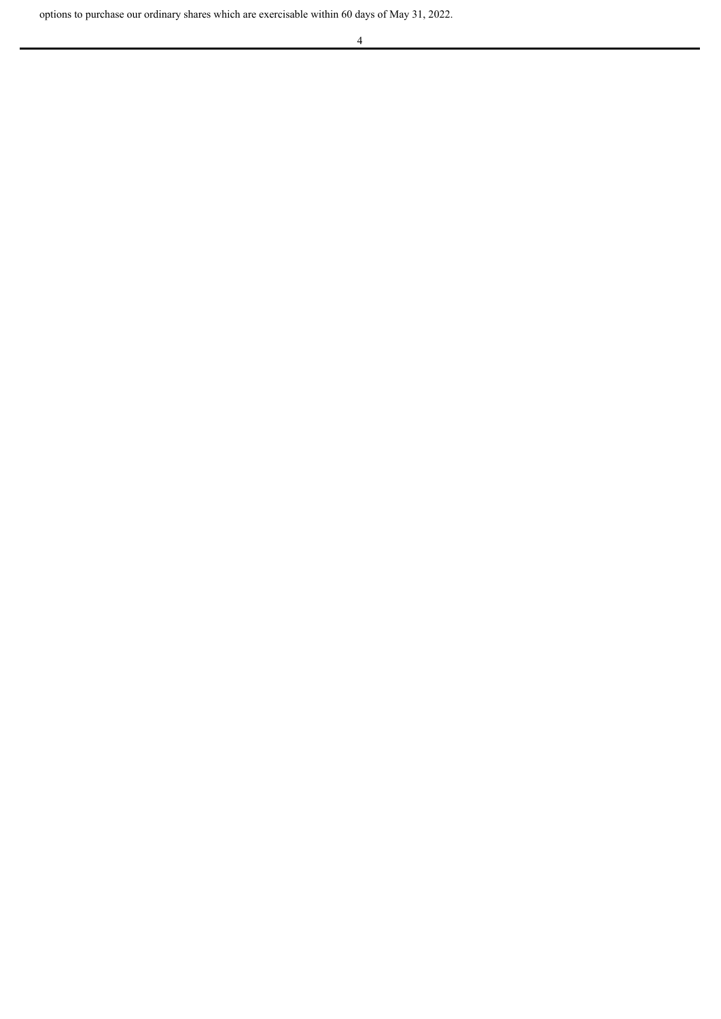options to purchase our ordinary shares which are exercisable within 60 days of May 31, 2022.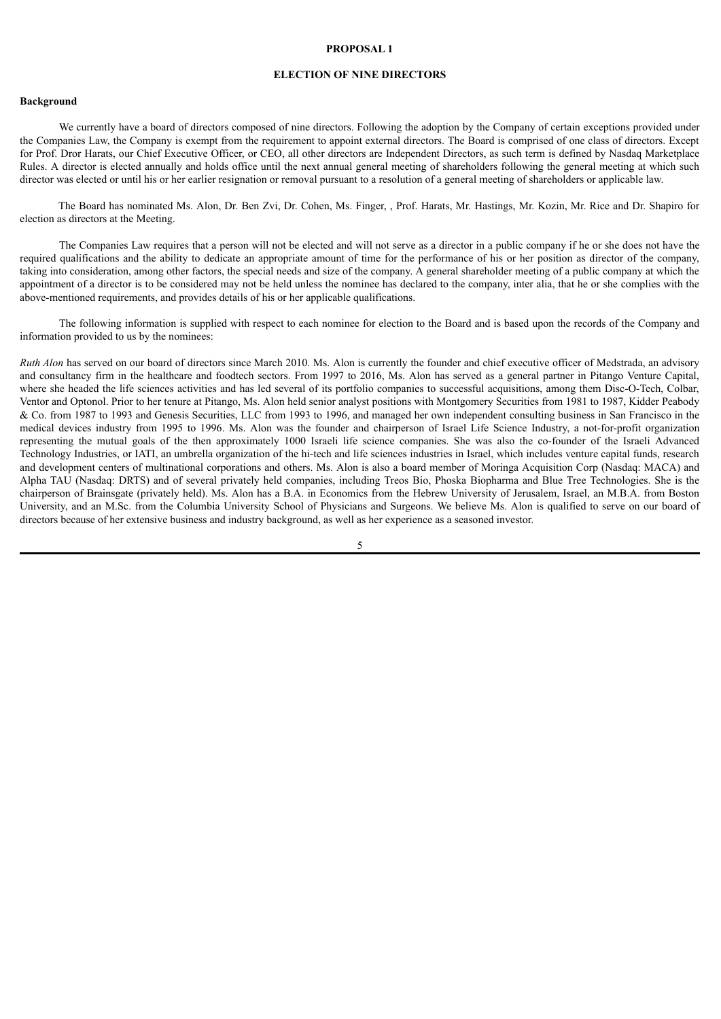### **ELECTION OF NINE DIRECTORS**

#### **Background**

We currently have a board of directors composed of nine directors. Following the adoption by the Company of certain exceptions provided under the Companies Law, the Company is exempt from the requirement to appoint external directors. The Board is comprised of one class of directors. Except for Prof. Dror Harats, our Chief Executive Officer, or CEO, all other directors are Independent Directors, as such term is defined by Nasdaq Marketplace Rules. A director is elected annually and holds office until the next annual general meeting of shareholders following the general meeting at which such director was elected or until his or her earlier resignation or removal pursuant to a resolution of a general meeting of shareholders or applicable law.

The Board has nominated Ms. Alon, Dr. Ben Zvi, Dr. Cohen, Ms. Finger, , Prof. Harats, Mr. Hastings, Mr. Kozin, Mr. Rice and Dr. Shapiro for election as directors at the Meeting.

The Companies Law requires that a person will not be elected and will not serve as a director in a public company if he or she does not have the required qualifications and the ability to dedicate an appropriate amount of time for the performance of his or her position as director of the company, taking into consideration, among other factors, the special needs and size of the company. A general shareholder meeting of a public company at which the appointment of a director is to be considered may not be held unless the nominee has declared to the company, inter alia, that he or she complies with the above-mentioned requirements, and provides details of his or her applicable qualifications.

The following information is supplied with respect to each nominee for election to the Board and is based upon the records of the Company and information provided to us by the nominees:

*Ruth Alon* has served on our board of directors since March 2010. Ms. Alon is currently the founder and chief executive officer of Medstrada, an advisory and consultancy firm in the healthcare and foodtech sectors. From 1997 to 2016, Ms. Alon has served as a general partner in Pitango Venture Capital, where she headed the life sciences activities and has led several of its portfolio companies to successful acquisitions, among them Disc-O-Tech, Colbar, Ventor and Optonol. Prior to her tenure at Pitango, Ms. Alon held senior analyst positions with Montgomery Securities from 1981 to 1987, Kidder Peabody & Co. from 1987 to 1993 and Genesis Securities, LLC from 1993 to 1996, and managed her own independent consulting business in San Francisco in the medical devices industry from 1995 to 1996. Ms. Alon was the founder and chairperson of Israel Life Science Industry, a not-for-profit organization representing the mutual goals of the then approximately 1000 Israeli life science companies. She was also the co-founder of the Israeli Advanced Technology Industries, or IATI, an umbrella organization of the hi-tech and life sciences industries in Israel, which includes venture capital funds, research and development centers of multinational corporations and others. Ms. Alon is also a board member of Moringa Acquisition Corp (Nasdaq: MACA) and Alpha TAU (Nasdaq: DRTS) and of several privately held companies, including Treos Bio, Phoska Biopharma and Blue Tree Technologies. She is the chairperson of Brainsgate (privately held). Ms. Alon has a B.A. in Economics from the Hebrew University of Jerusalem, Israel, an M.B.A. from Boston University, and an M.Sc. from the Columbia University School of Physicians and Surgeons. We believe Ms. Alon is qualified to serve on our board of directors because of her extensive business and industry background, as well as her experience as a seasoned investor.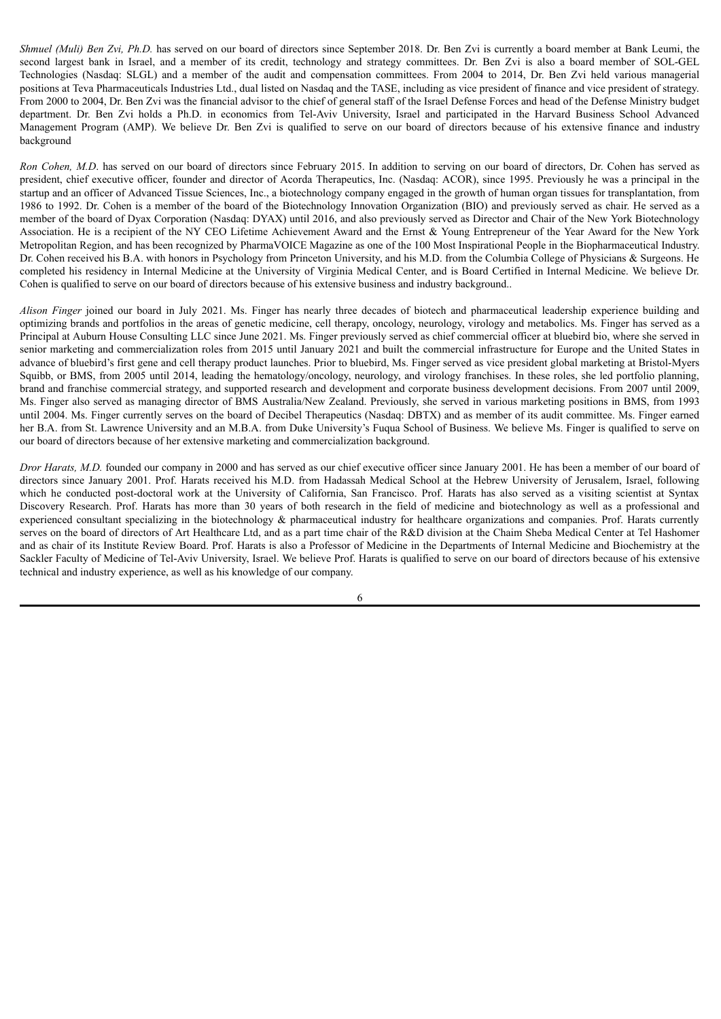*Shmuel (Muli) Ben Zvi, Ph.D.* has served on our board of directors since September 2018. Dr. Ben Zvi is currently a board member at Bank Leumi, the second largest bank in Israel, and a member of its credit, technology and strategy committees. Dr. Ben Zvi is also a board member of SOL-GEL Technologies (Nasdaq: SLGL) and a member of the audit and compensation committees. From 2004 to 2014, Dr. Ben Zvi held various managerial positions at Teva Pharmaceuticals Industries Ltd., dual listed on Nasdaq and the TASE, including as vice president of finance and vice president of strategy. From 2000 to 2004, Dr. Ben Zvi was the financial advisor to the chief of general staff of the Israel Defense Forces and head of the Defense Ministry budget department. Dr. Ben Zvi holds a Ph.D. in economics from Tel-Aviv University, Israel and participated in the Harvard Business School Advanced Management Program (AMP). We believe Dr. Ben Zvi is qualified to serve on our board of directors because of his extensive finance and industry background

*Ron Cohen, M.D*. has served on our board of directors since February 2015. In addition to serving on our board of directors, Dr. Cohen has served as president, chief executive officer, founder and director of Acorda Therapeutics, Inc. (Nasdaq: ACOR), since 1995. Previously he was a principal in the startup and an officer of Advanced Tissue Sciences, Inc., a biotechnology company engaged in the growth of human organ tissues for transplantation, from 1986 to 1992. Dr. Cohen is a member of the board of the Biotechnology Innovation Organization (BIO) and previously served as chair. He served as a member of the board of Dyax Corporation (Nasdaq: DYAX) until 2016, and also previously served as Director and Chair of the New York Biotechnology Association. He is a recipient of the NY CEO Lifetime Achievement Award and the Ernst & Young Entrepreneur of the Year Award for the New York Metropolitan Region, and has been recognized by PharmaVOICE Magazine as one of the 100 Most Inspirational People in the Biopharmaceutical Industry. Dr. Cohen received his B.A. with honors in Psychology from Princeton University, and his M.D. from the Columbia College of Physicians & Surgeons. He completed his residency in Internal Medicine at the University of Virginia Medical Center, and is Board Certified in Internal Medicine. We believe Dr. Cohen is qualified to serve on our board of directors because of his extensive business and industry background..

*Alison Finger* joined our board in July 2021. Ms. Finger has nearly three decades of biotech and pharmaceutical leadership experience building and optimizing brands and portfolios in the areas of genetic medicine, cell therapy, oncology, neurology, virology and metabolics. Ms. Finger has served as a Principal at Auburn House Consulting LLC since June 2021. Ms. Finger previously served as chief commercial officer at bluebird bio, where she served in senior marketing and commercialization roles from 2015 until January 2021 and built the commercial infrastructure for Europe and the United States in advance of bluebird's first gene and cell therapy product launches. Prior to bluebird, Ms. Finger served as vice president global marketing at Bristol-Myers Squibb, or BMS, from 2005 until 2014, leading the hematology/oncology, neurology, and virology franchises. In these roles, she led portfolio planning, brand and franchise commercial strategy, and supported research and development and corporate business development decisions. From 2007 until 2009, Ms. Finger also served as managing director of BMS Australia/New Zealand. Previously, she served in various marketing positions in BMS, from 1993 until 2004. Ms. Finger currently serves on the board of Decibel Therapeutics (Nasdaq: DBTX) and as member of its audit committee. Ms. Finger earned her B.A. from St. Lawrence University and an M.B.A. from Duke University's Fuqua School of Business. We believe Ms. Finger is qualified to serve on our board of directors because of her extensive marketing and commercialization background.

*Dror Harats, M.D.* founded our company in 2000 and has served as our chief executive officer since January 2001. He has been a member of our board of directors since January 2001. Prof. Harats received his M.D. from Hadassah Medical School at the Hebrew University of Jerusalem, Israel, following which he conducted post-doctoral work at the University of California, San Francisco. Prof. Harats has also served as a visiting scientist at Syntax Discovery Research. Prof. Harats has more than 30 years of both research in the field of medicine and biotechnology as well as a professional and experienced consultant specializing in the biotechnology & pharmaceutical industry for healthcare organizations and companies. Prof. Harats currently serves on the board of directors of Art Healthcare Ltd, and as a part time chair of the R&D division at the Chaim Sheba Medical Center at Tel Hashomer and as chair of its Institute Review Board. Prof. Harats is also a Professor of Medicine in the Departments of Internal Medicine and Biochemistry at the Sackler Faculty of Medicine of Tel-Aviv University, Israel. We believe Prof. Harats is qualified to serve on our board of directors because of his extensive technical and industry experience, as well as his knowledge of our company.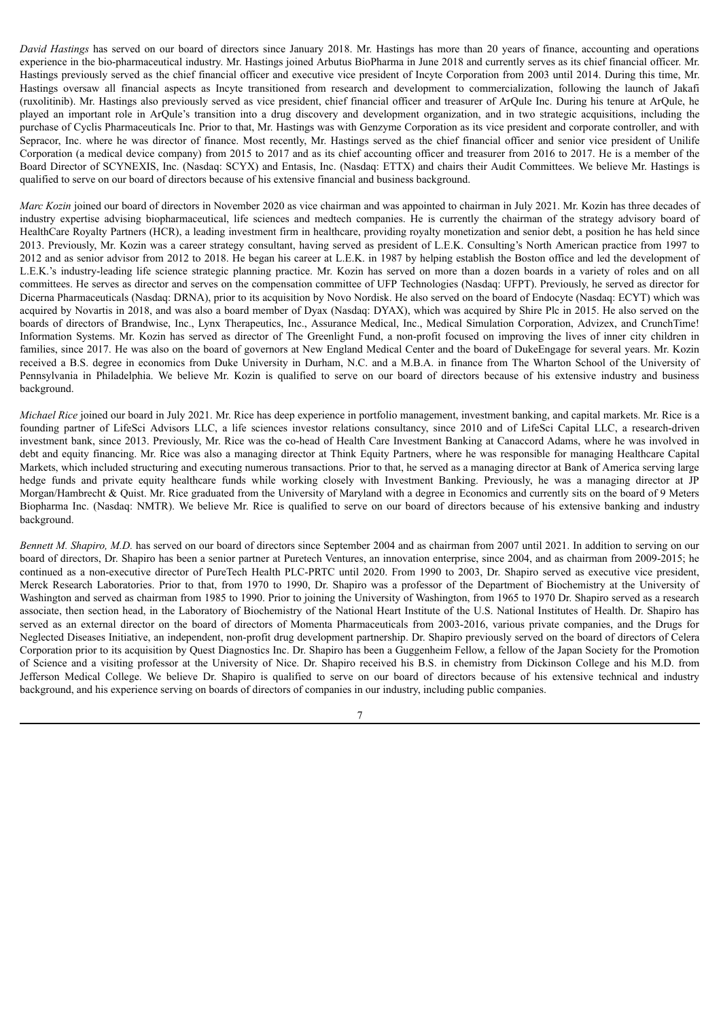*David Hastings* has served on our board of directors since January 2018. Mr. Hastings has more than 20 years of finance, accounting and operations experience in the bio-pharmaceutical industry. Mr. Hastings joined Arbutus BioPharma in June 2018 and currently serves as its chief financial officer. Mr. Hastings previously served as the chief financial officer and executive vice president of Incyte Corporation from 2003 until 2014. During this time, Mr. Hastings oversaw all financial aspects as Incyte transitioned from research and development to commercialization, following the launch of Jakafi (ruxolitinib). Mr. Hastings also previously served as vice president, chief financial officer and treasurer of ArQule Inc. During his tenure at ArQule, he played an important role in ArQule's transition into a drug discovery and development organization, and in two strategic acquisitions, including the purchase of Cyclis Pharmaceuticals Inc. Prior to that, Mr. Hastings was with Genzyme Corporation as its vice president and corporate controller, and with Sepracor, Inc. where he was director of finance. Most recently, Mr. Hastings served as the chief financial officer and senior vice president of Unilife Corporation (a medical device company) from 2015 to 2017 and as its chief accounting officer and treasurer from 2016 to 2017. He is a member of the Board Director of SCYNEXIS, Inc. (Nasdaq: SCYX) and Entasis, Inc. (Nasdaq: ETTX) and chairs their Audit Committees. We believe Mr. Hastings is qualified to serve on our board of directors because of his extensive financial and business background.

*Marc Kozin* joined our board of directors in November 2020 as vice chairman and was appointed to chairman in July 2021. Mr. Kozin has three decades of industry expertise advising biopharmaceutical, life sciences and medtech companies. He is currently the chairman of the strategy advisory board of HealthCare Royalty Partners (HCR), a leading investment firm in healthcare, providing royalty monetization and senior debt, a position he has held since 2013. Previously, Mr. Kozin was a career strategy consultant, having served as president of L.E.K. Consulting's North American practice from 1997 to 2012 and as senior advisor from 2012 to 2018. He began his career at L.E.K. in 1987 by helping establish the Boston office and led the development of L.E.K.'s industry-leading life science strategic planning practice. Mr. Kozin has served on more than a dozen boards in a variety of roles and on all committees. He serves as director and serves on the compensation committee of UFP Technologies (Nasdaq: UFPT). Previously, he served as director for Dicerna Pharmaceuticals (Nasdaq: DRNA), prior to its acquisition by Novo Nordisk. He also served on the board of Endocyte (Nasdaq: ECYT) which was acquired by Novartis in 2018, and was also a board member of Dyax (Nasdaq: DYAX), which was acquired by Shire Plc in 2015. He also served on the boards of directors of Brandwise, Inc., Lynx Therapeutics, Inc., Assurance Medical, Inc., Medical Simulation Corporation, Advizex, and CrunchTime! Information Systems. Mr. Kozin has served as director of The Greenlight Fund, a non-profit focused on improving the lives of inner city children in families, since 2017. He was also on the board of governors at New England Medical Center and the board of DukeEngage for several years. Mr. Kozin received a B.S. degree in economics from Duke University in Durham, N.C. and a M.B.A. in finance from The Wharton School of the University of Pennsylvania in Philadelphia. We believe Mr. Kozin is qualified to serve on our board of directors because of his extensive industry and business background.

*Michael Rice* joined our board in July 2021. Mr. Rice has deep experience in portfolio management, investment banking, and capital markets. Mr. Rice is a founding partner of LifeSci Advisors LLC, a life sciences investor relations consultancy, since 2010 and of LifeSci Capital LLC, a research-driven investment bank, since 2013. Previously, Mr. Rice was the co-head of Health Care Investment Banking at Canaccord Adams, where he was involved in debt and equity financing. Mr. Rice was also a managing director at Think Equity Partners, where he was responsible for managing Healthcare Capital Markets, which included structuring and executing numerous transactions. Prior to that, he served as a managing director at Bank of America serving large hedge funds and private equity healthcare funds while working closely with Investment Banking. Previously, he was a managing director at JP Morgan/Hambrecht & Quist. Mr. Rice graduated from the University of Maryland with a degree in Economics and currently sits on the board of 9 Meters Biopharma Inc. (Nasdaq: NMTR). We believe Mr. Rice is qualified to serve on our board of directors because of his extensive banking and industry background.

*Bennett M. Shapiro, M.D.* has served on our board of directors since September 2004 and as chairman from 2007 until 2021. In addition to serving on our board of directors, Dr. Shapiro has been a senior partner at Puretech Ventures, an innovation enterprise, since 2004, and as chairman from 2009-2015; he continued as a non-executive director of PureTech Health PLC-PRTC until 2020. From 1990 to 2003, Dr. Shapiro served as executive vice president, Merck Research Laboratories. Prior to that, from 1970 to 1990, Dr. Shapiro was a professor of the Department of Biochemistry at the University of Washington and served as chairman from 1985 to 1990. Prior to joining the University of Washington, from 1965 to 1970 Dr. Shapiro served as a research associate, then section head, in the Laboratory of Biochemistry of the National Heart Institute of the U.S. National Institutes of Health. Dr. Shapiro has served as an external director on the board of directors of Momenta Pharmaceuticals from 2003-2016, various private companies, and the Drugs for Neglected Diseases Initiative, an independent, non-profit drug development partnership. Dr. Shapiro previously served on the board of directors of Celera Corporation prior to its acquisition by Quest Diagnostics Inc. Dr. Shapiro has been a Guggenheim Fellow, a fellow of the Japan Society for the Promotion of Science and a visiting professor at the University of Nice. Dr. Shapiro received his B.S. in chemistry from Dickinson College and his M.D. from Jefferson Medical College. We believe Dr. Shapiro is qualified to serve on our board of directors because of his extensive technical and industry background, and his experience serving on boards of directors of companies in our industry, including public companies.

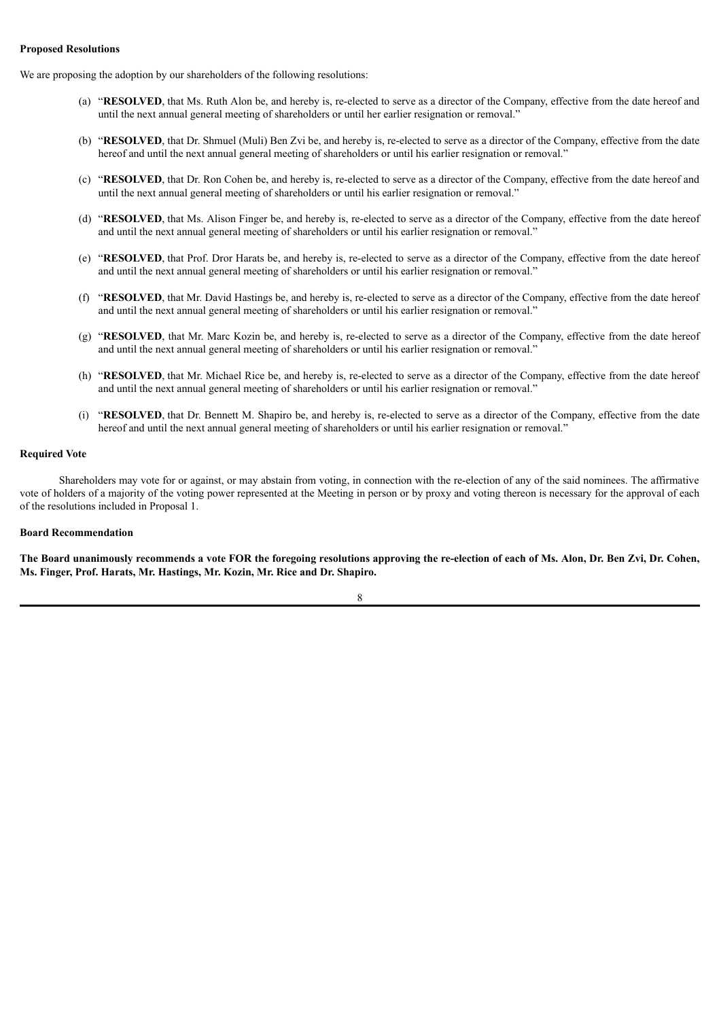### **Proposed Resolutions**

We are proposing the adoption by our shareholders of the following resolutions:

- (a) "**RESOLVED**, that Ms. Ruth Alon be, and hereby is, re-elected to serve as a director of the Company, effective from the date hereof and until the next annual general meeting of shareholders or until her earlier resignation or removal."
- (b) "**RESOLVED**, that Dr. Shmuel (Muli) Ben Zvi be, and hereby is, re-elected to serve as a director of the Company, effective from the date hereof and until the next annual general meeting of shareholders or until his earlier resignation or removal."
- (c) "**RESOLVED**, that Dr. Ron Cohen be, and hereby is, re-elected to serve as a director of the Company, effective from the date hereof and until the next annual general meeting of shareholders or until his earlier resignation or removal."
- (d) "**RESOLVED**, that Ms. Alison Finger be, and hereby is, re-elected to serve as a director of the Company, effective from the date hereof and until the next annual general meeting of shareholders or until his earlier resignation or removal."
- (e) "**RESOLVED**, that Prof. Dror Harats be, and hereby is, re-elected to serve as a director of the Company, effective from the date hereof and until the next annual general meeting of shareholders or until his earlier resignation or removal."
- (f) "**RESOLVED**, that Mr. David Hastings be, and hereby is, re-elected to serve as a director of the Company, effective from the date hereof and until the next annual general meeting of shareholders or until his earlier resignation or removal."
- (g) "**RESOLVED**, that Mr. Marc Kozin be, and hereby is, re-elected to serve as a director of the Company, effective from the date hereof and until the next annual general meeting of shareholders or until his earlier resignation or removal."
- (h) "**RESOLVED**, that Mr. Michael Rice be, and hereby is, re-elected to serve as a director of the Company, effective from the date hereof and until the next annual general meeting of shareholders or until his earlier resignation or removal."
- (i) "**RESOLVED**, that Dr. Bennett M. Shapiro be, and hereby is, re-elected to serve as a director of the Company, effective from the date hereof and until the next annual general meeting of shareholders or until his earlier resignation or removal."

### **Required Vote**

Shareholders may vote for or against, or may abstain from voting, in connection with the re-election of any of the said nominees. The affirmative vote of holders of a majority of the voting power represented at the Meeting in person or by proxy and voting thereon is necessary for the approval of each of the resolutions included in Proposal 1.

### **Board Recommendation**

The Board unanimously recommends a vote FOR the foregoing resolutions approving the re-election of each of Ms. Alon, Dr. Ben Zvi, Dr. Cohen, **Ms. Finger, Prof. Harats, Mr. Hastings, Mr. Kozin, Mr. Rice and Dr. Shapiro.**

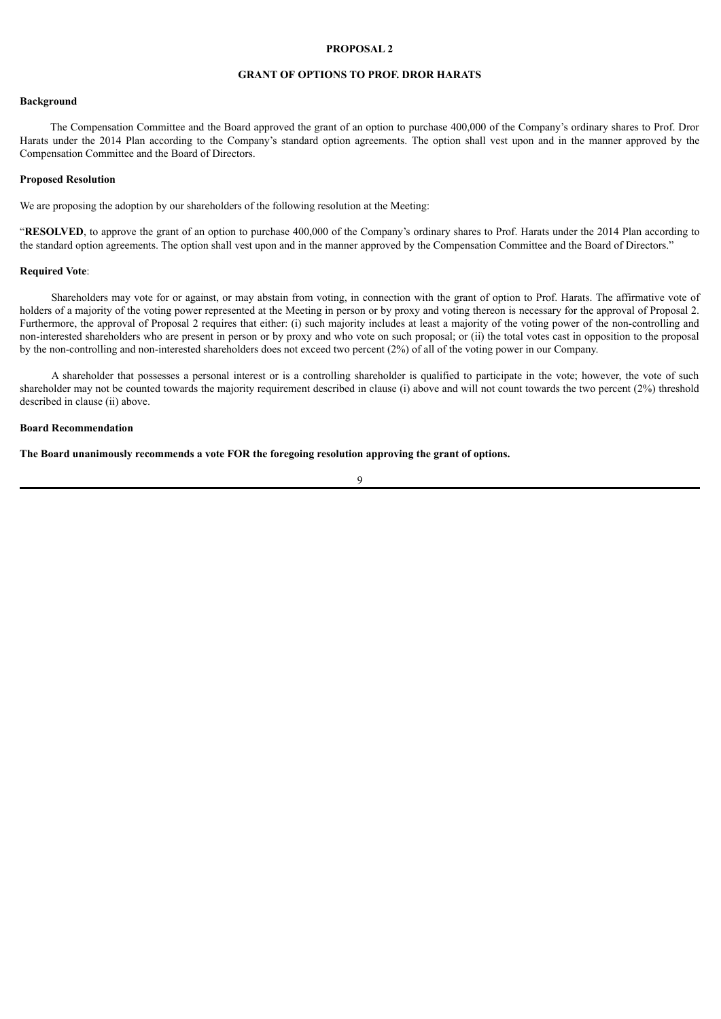# **GRANT OF OPTIONS TO PROF. DROR HARATS**

#### **Background**

The Compensation Committee and the Board approved the grant of an option to purchase 400,000 of the Company's ordinary shares to Prof. Dror Harats under the 2014 Plan according to the Company's standard option agreements. The option shall vest upon and in the manner approved by the Compensation Committee and the Board of Directors.

### **Proposed Resolution**

We are proposing the adoption by our shareholders of the following resolution at the Meeting:

"**RESOLVED**, to approve the grant of an option to purchase 400,000 of the Company's ordinary shares to Prof. Harats under the 2014 Plan according to the standard option agreements. The option shall vest upon and in the manner approved by the Compensation Committee and the Board of Directors."

#### **Required Vote**:

Shareholders may vote for or against, or may abstain from voting, in connection with the grant of option to Prof. Harats. The affirmative vote of holders of a majority of the voting power represented at the Meeting in person or by proxy and voting thereon is necessary for the approval of Proposal 2. Furthermore, the approval of Proposal 2 requires that either: (i) such majority includes at least a majority of the voting power of the non-controlling and non-interested shareholders who are present in person or by proxy and who vote on such proposal; or (ii) the total votes cast in opposition to the proposal by the non-controlling and non-interested shareholders does not exceed two percent (2%) of all of the voting power in our Company.

A shareholder that possesses a personal interest or is a controlling shareholder is qualified to participate in the vote; however, the vote of such shareholder may not be counted towards the majority requirement described in clause (i) above and will not count towards the two percent (2%) threshold described in clause (ii) above.

### **Board Recommendation**

**The Board unanimously recommends a vote FOR the foregoing resolution approving the grant of options.**

 $\alpha$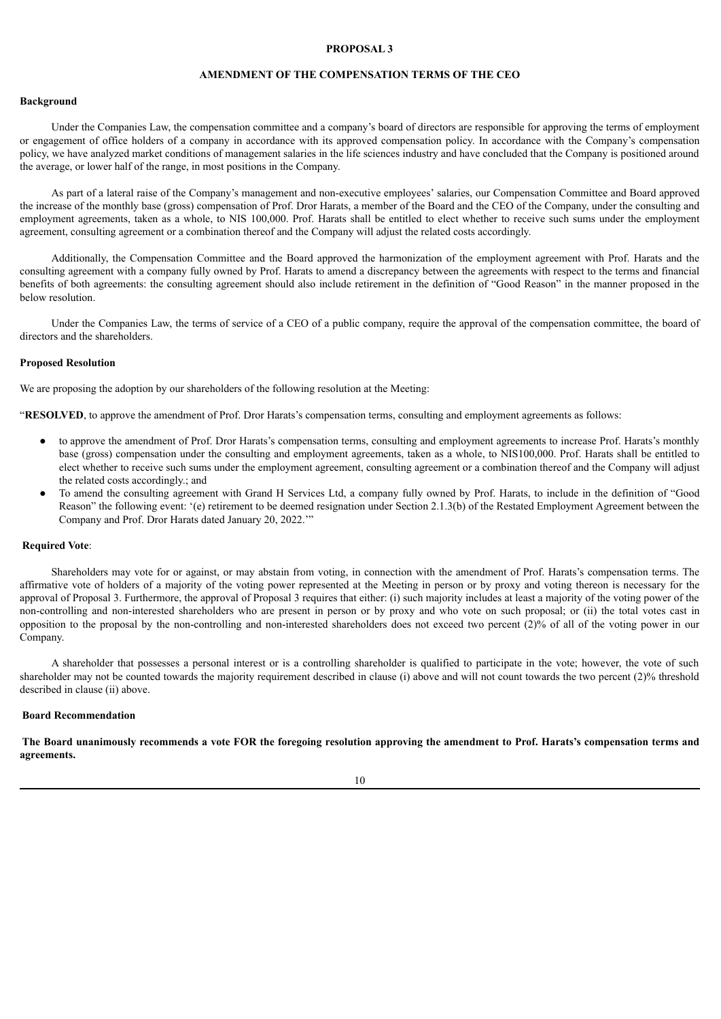# **AMENDMENT OF THE COMPENSATION TERMS OF THE CEO**

#### **Background**

Under the Companies Law, the compensation committee and a company's board of directors are responsible for approving the terms of employment or engagement of office holders of a company in accordance with its approved compensation policy. In accordance with the Company's compensation policy, we have analyzed market conditions of management salaries in the life sciences industry and have concluded that the Company is positioned around the average, or lower half of the range, in most positions in the Company.

As part of a lateral raise of the Company's management and non-executive employees' salaries, our Compensation Committee and Board approved the increase of the monthly base (gross) compensation of Prof. Dror Harats, a member of the Board and the CEO of the Company, under the consulting and employment agreements, taken as a whole, to NIS 100,000. Prof. Harats shall be entitled to elect whether to receive such sums under the employment agreement, consulting agreement or a combination thereof and the Company will adjust the related costs accordingly.

Additionally, the Compensation Committee and the Board approved the harmonization of the employment agreement with Prof. Harats and the consulting agreement with a company fully owned by Prof. Harats to amend a discrepancy between the agreements with respect to the terms and financial benefits of both agreements: the consulting agreement should also include retirement in the definition of "Good Reason" in the manner proposed in the below resolution.

Under the Companies Law, the terms of service of a CEO of a public company, require the approval of the compensation committee, the board of directors and the shareholders.

#### **Proposed Resolution**

We are proposing the adoption by our shareholders of the following resolution at the Meeting:

"**RESOLVED**, to approve the amendment of Prof. Dror Harats's compensation terms, consulting and employment agreements as follows:

- to approve the amendment of Prof. Dror Harats's compensation terms, consulting and employment agreements to increase Prof. Harats's monthly base (gross) compensation under the consulting and employment agreements, taken as a whole, to NIS100,000. Prof. Harats shall be entitled to elect whether to receive such sums under the employment agreement, consulting agreement or a combination thereof and the Company will adjust the related costs accordingly.; and
- To amend the consulting agreement with Grand H Services Ltd, a company fully owned by Prof. Harats, to include in the definition of "Good Reason" the following event: '(e) retirement to be deemed resignation under Section 2.1.3(b) of the Restated Employment Agreement between the Company and Prof. Dror Harats dated January 20, 2022.'"

#### **Required Vote**:

Shareholders may vote for or against, or may abstain from voting, in connection with the amendment of Prof. Harats's compensation terms. The affirmative vote of holders of a majority of the voting power represented at the Meeting in person or by proxy and voting thereon is necessary for the approval of Proposal 3. Furthermore, the approval of Proposal 3 requires that either: (i) such majority includes at least a majority of the voting power of the non-controlling and non-interested shareholders who are present in person or by proxy and who vote on such proposal; or (ii) the total votes cast in opposition to the proposal by the non-controlling and non-interested shareholders does not exceed two percent (2)% of all of the voting power in our Company.

A shareholder that possesses a personal interest or is a controlling shareholder is qualified to participate in the vote; however, the vote of such shareholder may not be counted towards the majority requirement described in clause (i) above and will not count towards the two percent (2)% threshold described in clause (ii) above.

#### **Board Recommendation**

The Board unanimously recommends a vote FOR the foregoing resolution approving the amendment to Prof. Harats's compensation terms and **agreements.**

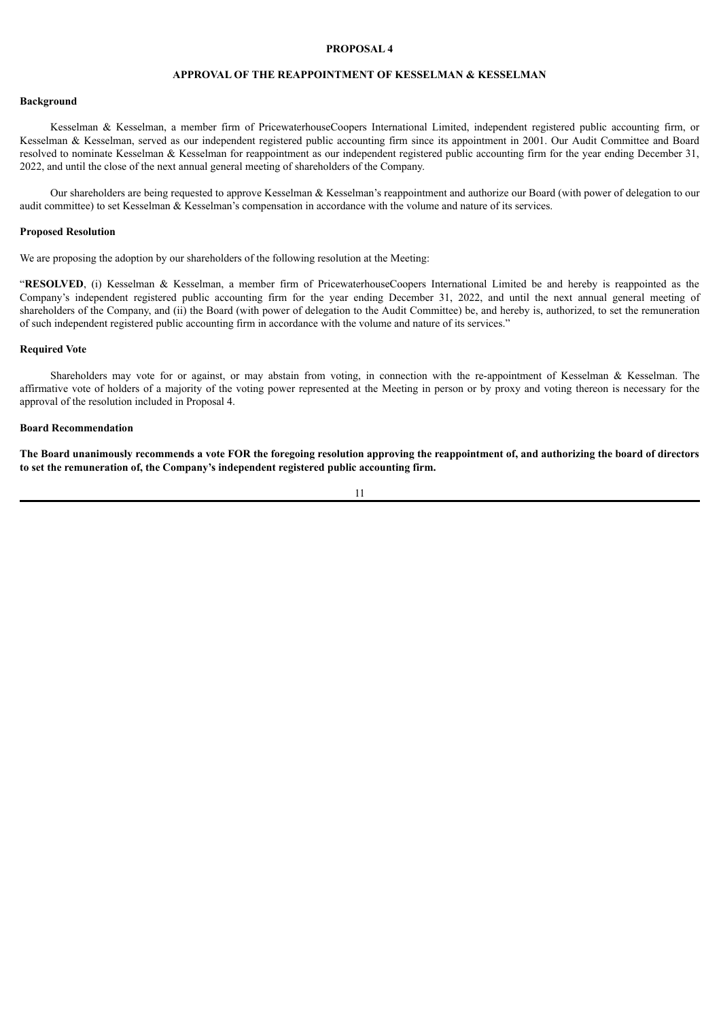# **APPROVAL OF THE REAPPOINTMENT OF KESSELMAN & KESSELMAN**

#### **Background**

Kesselman & Kesselman, a member firm of PricewaterhouseCoopers International Limited, independent registered public accounting firm, or Kesselman & Kesselman, served as our independent registered public accounting firm since its appointment in 2001. Our Audit Committee and Board resolved to nominate Kesselman & Kesselman for reappointment as our independent registered public accounting firm for the year ending December 31, 2022, and until the close of the next annual general meeting of shareholders of the Company.

Our shareholders are being requested to approve Kesselman & Kesselman's reappointment and authorize our Board (with power of delegation to our audit committee) to set Kesselman & Kesselman's compensation in accordance with the volume and nature of its services.

#### **Proposed Resolution**

We are proposing the adoption by our shareholders of the following resolution at the Meeting:

"**RESOLVED**, (i) Kesselman & Kesselman, a member firm of PricewaterhouseCoopers International Limited be and hereby is reappointed as the Company's independent registered public accounting firm for the year ending December 31, 2022, and until the next annual general meeting of shareholders of the Company, and (ii) the Board (with power of delegation to the Audit Committee) be, and hereby is, authorized, to set the remuneration of such independent registered public accounting firm in accordance with the volume and nature of its services."

### **Required Vote**

Shareholders may vote for or against, or may abstain from voting, in connection with the re-appointment of Kesselman & Kesselman. The affirmative vote of holders of a majority of the voting power represented at the Meeting in person or by proxy and voting thereon is necessary for the approval of the resolution included in Proposal 4.

### **Board Recommendation**

The Board unanimously recommends a vote FOR the foregoing resolution approving the reappointment of, and authorizing the board of directors **to set the remuneration of, the Company's independent registered public accounting firm.**

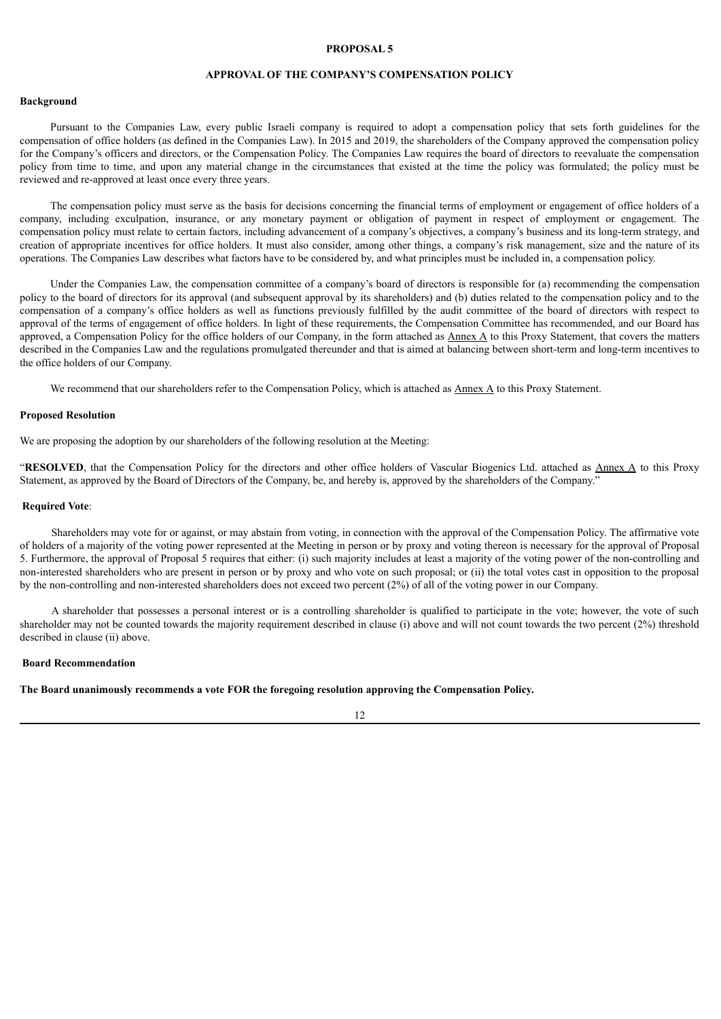### **APPROVAL OF THE COMPANY'S COMPENSATION POLICY**

#### **Background**

Pursuant to the Companies Law, every public Israeli company is required to adopt a compensation policy that sets forth guidelines for the compensation of office holders (as defined in the Companies Law). In 2015 and 2019, the shareholders of the Company approved the compensation policy for the Company's officers and directors, or the Compensation Policy. The Companies Law requires the board of directors to reevaluate the compensation policy from time to time, and upon any material change in the circumstances that existed at the time the policy was formulated; the policy must be reviewed and re-approved at least once every three years.

The compensation policy must serve as the basis for decisions concerning the financial terms of employment or engagement of office holders of a company, including exculpation, insurance, or any monetary payment or obligation of payment in respect of employment or engagement. The compensation policy must relate to certain factors, including advancement of a company's objectives, a company's business and its long-term strategy, and creation of appropriate incentives for office holders. It must also consider, among other things, a company's risk management, size and the nature of its operations. The Companies Law describes what factors have to be considered by, and what principles must be included in, a compensation policy.

Under the Companies Law, the compensation committee of a company's board of directors is responsible for (a) recommending the compensation policy to the board of directors for its approval (and subsequent approval by its shareholders) and (b) duties related to the compensation policy and to the compensation of a company's office holders as well as functions previously fulfilled by the audit committee of the board of directors with respect to approval of the terms of engagement of office holders. In light of these requirements, the Compensation Committee has recommended, and our Board has approved, a Compensation Policy for the office holders of our Company, in the form attached as Annex A to this Proxy Statement, that covers the matters described in the Companies Law and the regulations promulgated thereunder and that is aimed at balancing between short-term and long-term incentives to the office holders of our Company.

We recommend that our shareholders refer to the Compensation Policy, which is attached as Annex A to this Proxy Statement.

#### **Proposed Resolution**

We are proposing the adoption by our shareholders of the following resolution at the Meeting:

"RESOLVED, that the Compensation Policy for the directors and other office holders of Vascular Biogenics Ltd. attached as Annex A to this Proxy Statement, as approved by the Board of Directors of the Company, be, and hereby is, approved by the shareholders of the Company."

#### **Required Vote**:

Shareholders may vote for or against, or may abstain from voting, in connection with the approval of the Compensation Policy. The affirmative vote of holders of a majority of the voting power represented at the Meeting in person or by proxy and voting thereon is necessary for the approval of Proposal 5. Furthermore, the approval of Proposal 5 requires that either: (i) such majority includes at least a majority of the voting power of the non-controlling and non-interested shareholders who are present in person or by proxy and who vote on such proposal; or (ii) the total votes cast in opposition to the proposal by the non-controlling and non-interested shareholders does not exceed two percent (2%) of all of the voting power in our Company.

A shareholder that possesses a personal interest or is a controlling shareholder is qualified to participate in the vote; however, the vote of such shareholder may not be counted towards the majority requirement described in clause (i) above and will not count towards the two percent (2%) threshold described in clause (ii) above.

### **Board Recommendation**

**The Board unanimously recommends a vote FOR the foregoing resolution approving the Compensation Policy.**

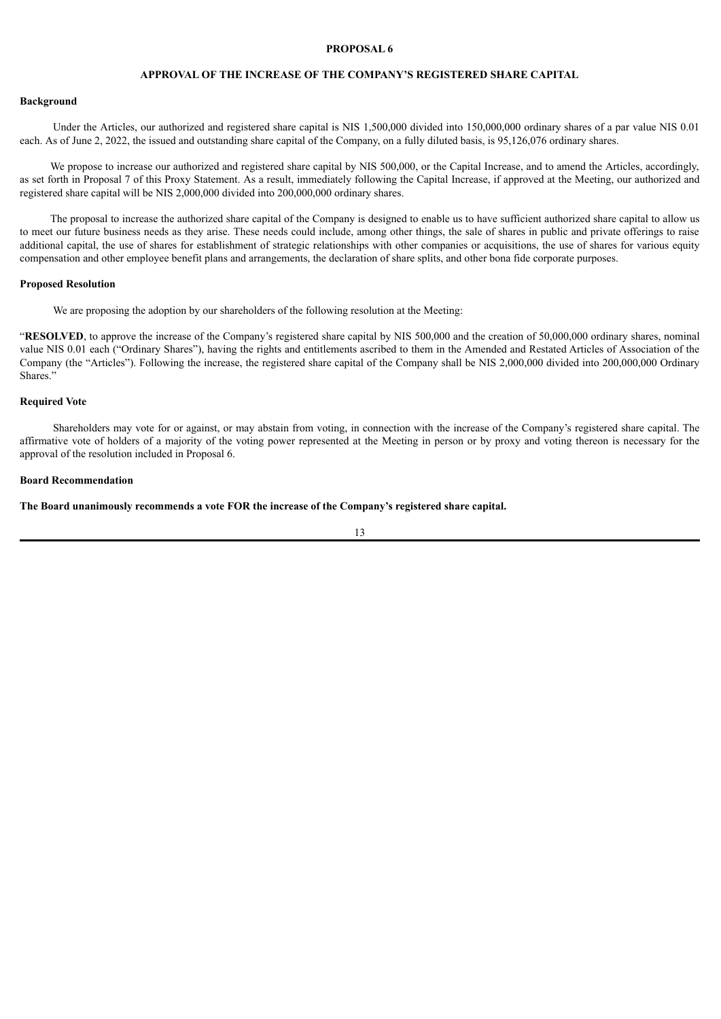# **APPROVAL OF THE INCREASE OF THE COMPANY'S REGISTERED SHARE CAPITAL**

### **Background**

Under the Articles, our authorized and registered share capital is NIS 1,500,000 divided into 150,000,000 ordinary shares of a par value NIS 0.01 each. As of June 2, 2022, the issued and outstanding share capital of the Company, on a fully diluted basis, is 95,126,076 ordinary shares.

We propose to increase our authorized and registered share capital by NIS 500,000, or the Capital Increase, and to amend the Articles, accordingly, as set forth in Proposal 7 of this Proxy Statement. As a result, immediately following the Capital Increase, if approved at the Meeting, our authorized and registered share capital will be NIS 2,000,000 divided into 200,000,000 ordinary shares.

The proposal to increase the authorized share capital of the Company is designed to enable us to have sufficient authorized share capital to allow us to meet our future business needs as they arise. These needs could include, among other things, the sale of shares in public and private offerings to raise additional capital, the use of shares for establishment of strategic relationships with other companies or acquisitions, the use of shares for various equity compensation and other employee benefit plans and arrangements, the declaration of share splits, and other bona fide corporate purposes.

### **Proposed Resolution**

We are proposing the adoption by our shareholders of the following resolution at the Meeting:

"**RESOLVED**, to approve the increase of the Company's registered share capital by NIS 500,000 and the creation of 50,000,000 ordinary shares, nominal value NIS 0.01 each ("Ordinary Shares"), having the rights and entitlements ascribed to them in the Amended and Restated Articles of Association of the Company (the "Articles"). Following the increase, the registered share capital of the Company shall be NIS 2,000,000 divided into 200,000,000 Ordinary Shares."

### **Required Vote**

Shareholders may vote for or against, or may abstain from voting, in connection with the increase of the Company's registered share capital. The affirmative vote of holders of a majority of the voting power represented at the Meeting in person or by proxy and voting thereon is necessary for the approval of the resolution included in Proposal 6.

#### **Board Recommendation**

**The Board unanimously recommends a vote FOR the increase of the Company's registered share capital.**

13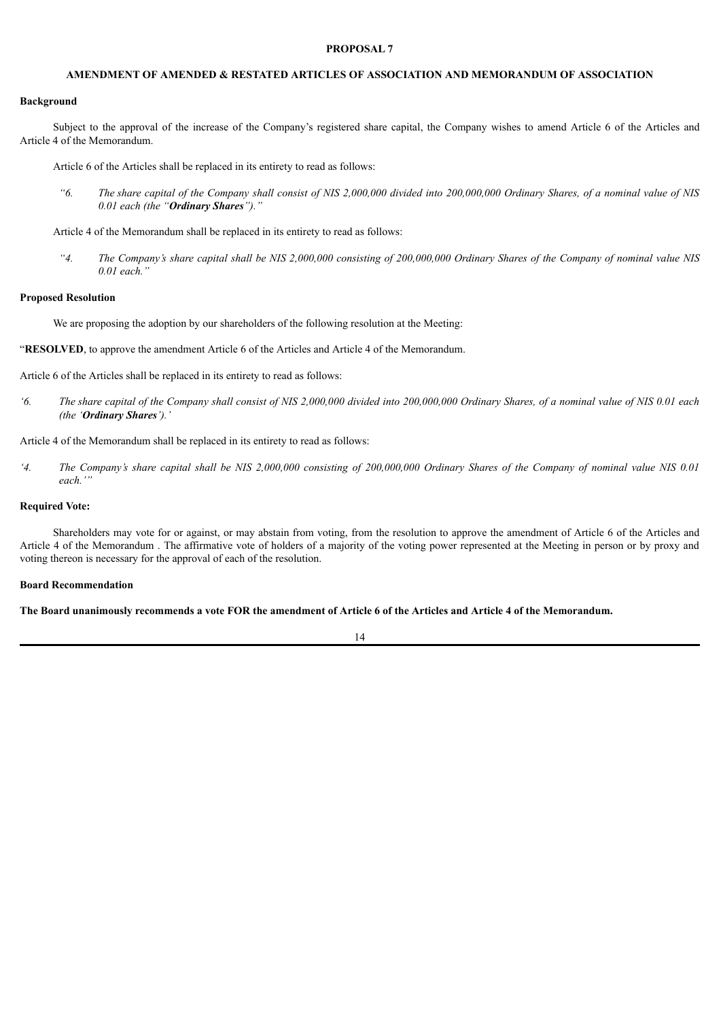# **AMENDMENT OF AMENDED & RESTATED ARTICLES OF ASSOCIATION AND MEMORANDUM OF ASSOCIATION**

### **Background**

Subject to the approval of the increase of the Company's registered share capital, the Company wishes to amend Article 6 of the Articles and Article 4 of the Memorandum.

Article 6 of the Articles shall be replaced in its entirety to read as follows:

"6. The share capital of the Company shall consist of NIS 2,000,000 divided into 200,000,000 Ordinary Shares, of a nominal value of NIS *0.01 each (the "Ordinary Shares")."*

Article 4 of the Memorandum shall be replaced in its entirety to read as follows:

"4. The Company's share capital shall be NIS 2,000,000 consisting of 200,000,000 Ordinary Shares of the Company of nominal value NIS *0.01 each."*

#### **Proposed Resolution**

We are proposing the adoption by our shareholders of the following resolution at the Meeting:

"**RESOLVED**, to approve the amendment Article 6 of the Articles and Article 4 of the Memorandum.

Article 6 of the Articles shall be replaced in its entirety to read as follows:

'6. The share capital of the Company shall consist of NIS 2,000,000 divided into 200,000,000 Ordinary Shares, of a nominal value of NIS 0.01 each *(the 'Ordinary Shares').'*

Article 4 of the Memorandum shall be replaced in its entirety to read as follows:

'4. The Company's share capital shall be NIS 2,000,000 consisting of 200,000,000 Ordinary Shares of the Company of nominal value NIS 0.01 *each.'"*

### **Required Vote:**

Shareholders may vote for or against, or may abstain from voting, from the resolution to approve the amendment of Article 6 of the Articles and Article 4 of the Memorandum . The affirmative vote of holders of a majority of the voting power represented at the Meeting in person or by proxy and voting thereon is necessary for the approval of each of the resolution.

### **Board Recommendation**

The Board unanimously recommends a vote FOR the amendment of Article 6 of the Articles and Article 4 of the Memorandum.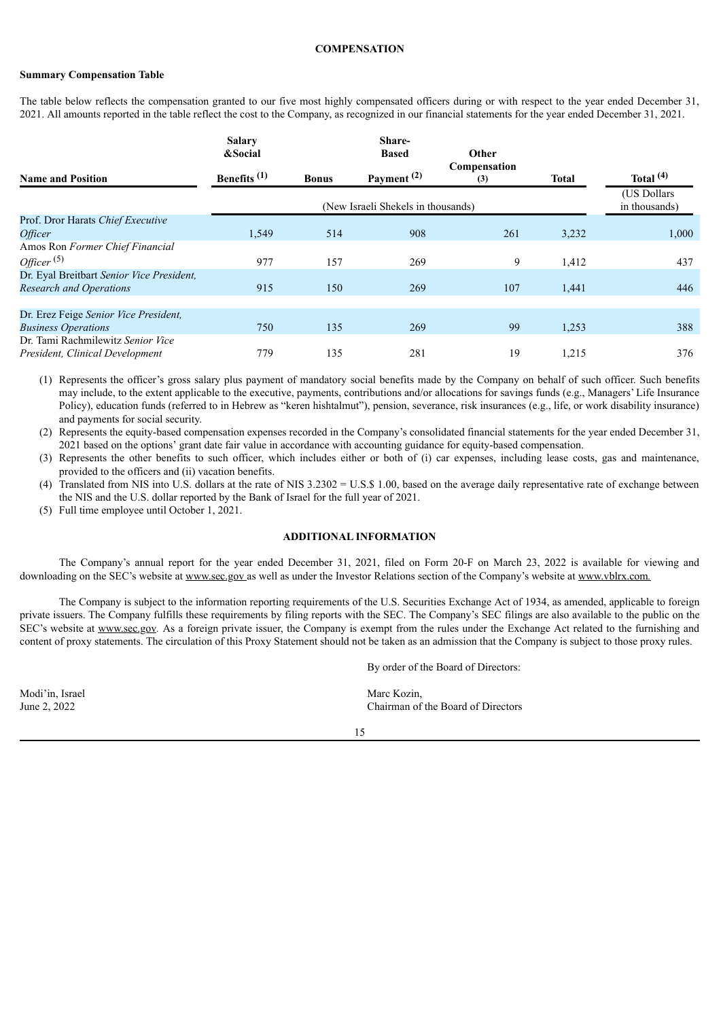### **COMPENSATION**

### **Summary Compensation Table**

The table below reflects the compensation granted to our five most highly compensated officers during or with respect to the year ended December 31, 2021. All amounts reported in the table reflect the cost to the Company, as recognized in our financial statements for the year ended December 31, 2021.

|                                           | <b>Salary</b><br>&Social |              | Share-<br><b>Based</b>                        | Other |              |             |  |
|-------------------------------------------|--------------------------|--------------|-----------------------------------------------|-------|--------------|-------------|--|
| <b>Name and Position</b>                  | Benefits $(1)$           | <b>Bonus</b> | Compensation<br>Payment <sup>(2)</sup><br>(3) |       | <b>Total</b> | Total $(4)$ |  |
|                                           |                          |              | (New Israeli Shekels in thousands)            |       |              |             |  |
| Prof. Dror Harats Chief Executive         |                          |              |                                               |       |              |             |  |
| <i><b>Officer</b></i>                     | 1,549                    | 514          | 908                                           | 261   | 3,232        | 1,000       |  |
| Amos Ron Former Chief Financial           |                          |              |                                               |       |              |             |  |
| Officer <sup>(5)</sup>                    | 977                      | 157          | 269                                           | 9     | 1,412        | 437         |  |
| Dr. Eyal Breitbart Senior Vice President, |                          |              |                                               |       |              |             |  |
| <b>Research and Operations</b>            | 915                      | 150          | 269                                           | 107   | 1,441        | 446         |  |
|                                           |                          |              |                                               |       |              |             |  |
| Dr. Erez Feige Senior Vice President,     |                          |              |                                               |       |              |             |  |
| <b>Business Operations</b>                | 750                      | 135          | 269                                           | 99    | 1,253        | 388         |  |
| Dr. Tami Rachmilewitz Senior Vice         |                          |              |                                               |       |              |             |  |
| President, Clinical Development           | 779                      | 135          | 281                                           | 19    | 1,215        | 376         |  |

(1) Represents the officer's gross salary plus payment of mandatory social benefits made by the Company on behalf of such officer. Such benefits may include, to the extent applicable to the executive, payments, contributions and/or allocations for savings funds (e.g., Managers' Life Insurance Policy), education funds (referred to in Hebrew as "keren hishtalmut"), pension, severance, risk insurances (e.g., life, or work disability insurance) and payments for social security.

(2) Represents the equity-based compensation expenses recorded in the Company's consolidated financial statements for the year ended December 31, 2021 based on the options' grant date fair value in accordance with accounting guidance for equity-based compensation.

- (3) Represents the other benefits to such officer, which includes either or both of (i) car expenses, including lease costs, gas and maintenance, provided to the officers and (ii) vacation benefits.
- (4) Translated from NIS into U.S. dollars at the rate of NIS 3.2302 = U.S.\$ 1.00, based on the average daily representative rate of exchange between the NIS and the U.S. dollar reported by the Bank of Israel for the full year of 2021.
- (5) Full time employee until October 1, 2021.

### **ADDITIONAL INFORMATION**

The Company's annual report for the year ended December 31, 2021, filed on Form 20-F on March 23, 2022 is available for viewing and downloading on the SEC's website at www.sec.gov as well as under the Investor Relations section of the Company's website at www.vblrx.com.

The Company is subject to the information reporting requirements of the U.S. Securities Exchange Act of 1934, as amended, applicable to foreign private issuers. The Company fulfills these requirements by filing reports with the SEC. The Company's SEC filings are also available to the public on the SEC's website at www.sec.gov*.* As a foreign private issuer, the Company is exempt from the rules under the Exchange Act related to the furnishing and content of proxy statements. The circulation of this Proxy Statement should not be taken as an admission that the Company is subject to those proxy rules.

By order of the Board of Directors:

Modi'in, Israel Marc Kozin, National Marc Kozin, National Marc Kozin, National Marc Kozin, National Marc Kozin,

June 2, 2022 Chairman of the Board of Directors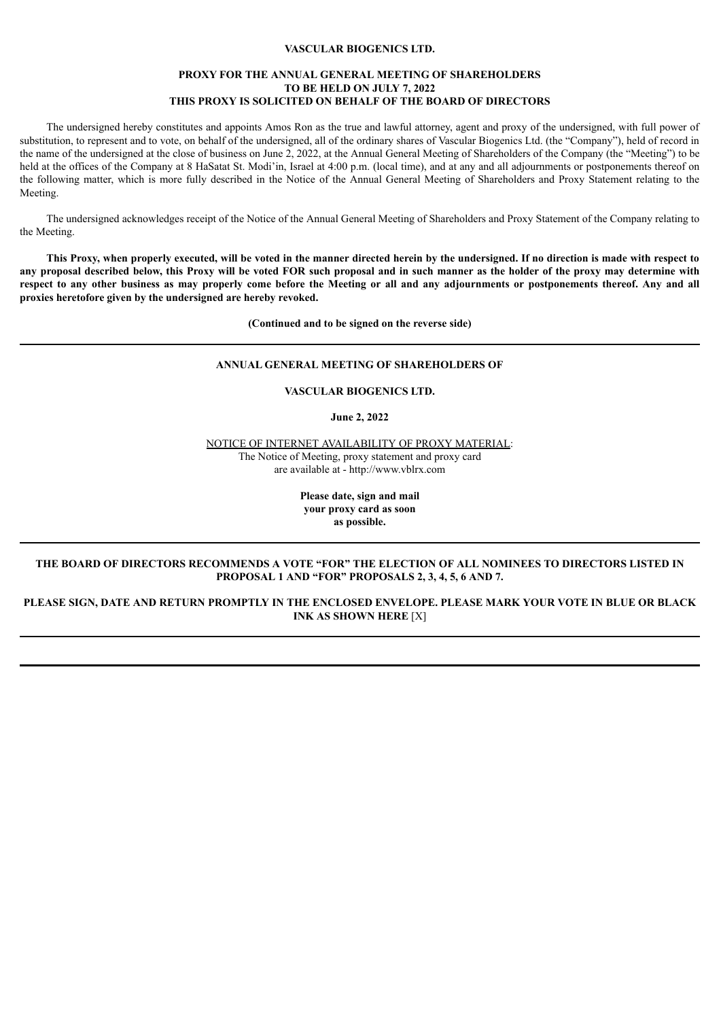# **VASCULAR BIOGENICS LTD.**

### **PROXY FOR THE ANNUAL GENERAL MEETING OF SHAREHOLDERS TO BE HELD ON JULY 7, 2022 THIS PROXY IS SOLICITED ON BEHALF OF THE BOARD OF DIRECTORS**

The undersigned hereby constitutes and appoints Amos Ron as the true and lawful attorney, agent and proxy of the undersigned, with full power of substitution, to represent and to vote, on behalf of the undersigned, all of the ordinary shares of Vascular Biogenics Ltd. (the "Company"), held of record in the name of the undersigned at the close of business on June 2, 2022, at the Annual General Meeting of Shareholders of the Company (the "Meeting") to be held at the offices of the Company at 8 HaSatat St. Modi'in, Israel at 4:00 p.m. (local time), and at any and all adjournments or postponements thereof on the following matter, which is more fully described in the Notice of the Annual General Meeting of Shareholders and Proxy Statement relating to the Meeting.

The undersigned acknowledges receipt of the Notice of the Annual General Meeting of Shareholders and Proxy Statement of the Company relating to the Meeting.

This Proxy, when properly executed, will be voted in the manner directed herein by the undersigned. If no direction is made with respect to any proposal described below, this Proxy will be voted FOR such proposal and in such manner as the holder of the proxy may determine with respect to any other business as may properly come before the Meeting or all and any adjournments or postponements thereof. Any and all **proxies heretofore given by the undersigned are hereby revoked.**

**(Continued and to be signed on the reverse side)**

# **ANNUAL GENERAL MEETING OF SHAREHOLDERS OF**

# **VASCULAR BIOGENICS LTD.**

**June 2, 2022**

NOTICE OF INTERNET AVAILABILITY OF PROXY MATERIAL: The Notice of Meeting, proxy statement and proxy card are available at - http://www.vblrx.com

> **Please date, sign and mail your proxy card as soon as possible.**

### **THE BOARD OF DIRECTORS RECOMMENDS A VOTE "FOR" THE ELECTION OF ALL NOMINEES TO DIRECTORS LISTED IN PROPOSAL 1 AND "FOR" PROPOSALS 2, 3, 4, 5, 6 AND 7.**

PLEASE SIGN, DATE AND RETURN PROMPTLY IN THE ENCLOSED ENVELOPE. PLEASE MARK YOUR VOTE IN BLUE OR BLACK **INK AS SHOWN HERE** [X]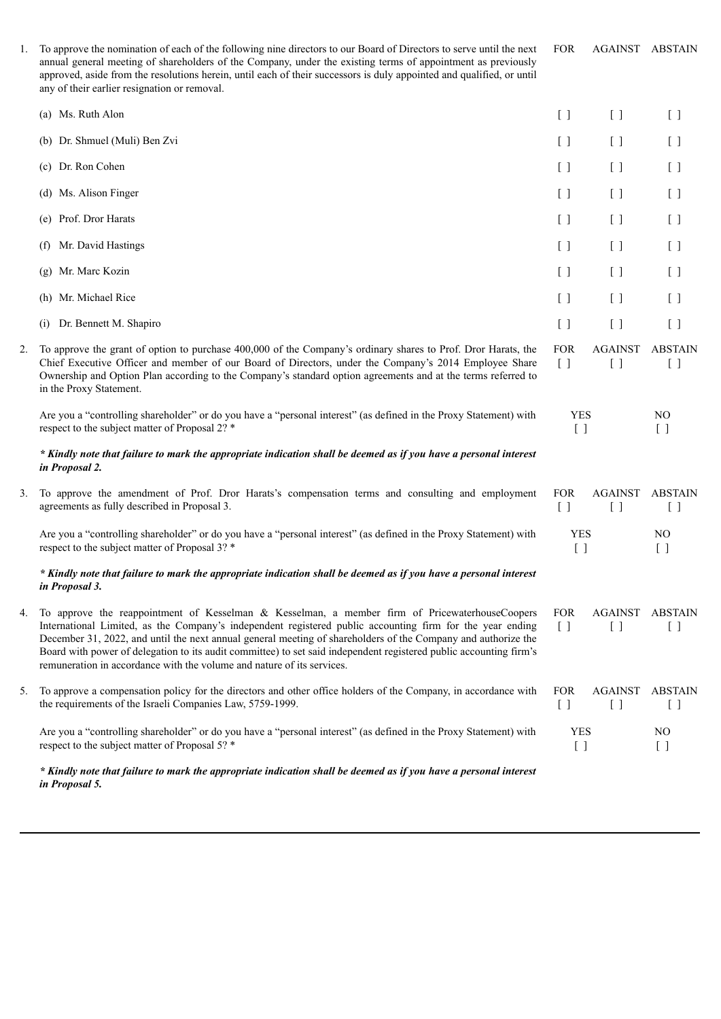| 1. | To approve the nomination of each of the following nine directors to our Board of Directors to serve until the next<br>annual general meeting of shareholders of the Company, under the existing terms of appointment as previously<br>approved, aside from the resolutions herein, until each of their successors is duly appointed and qualified, or until<br>any of their earlier resignation or removal.                                                                                                                 | <b>FOR</b>                                                  | <b>AGAINST ABSTAIN</b>          |                          |
|----|------------------------------------------------------------------------------------------------------------------------------------------------------------------------------------------------------------------------------------------------------------------------------------------------------------------------------------------------------------------------------------------------------------------------------------------------------------------------------------------------------------------------------|-------------------------------------------------------------|---------------------------------|--------------------------|
|    | (a) Ms. Ruth Alon                                                                                                                                                                                                                                                                                                                                                                                                                                                                                                            | $[\ ]$                                                      | $\begin{bmatrix} \end{bmatrix}$ | $[ \ ]$                  |
|    | (b) Dr. Shmuel (Muli) Ben Zvi                                                                                                                                                                                                                                                                                                                                                                                                                                                                                                | $[\ ]$                                                      | $[\ ]$                          | $[\ ]$                   |
|    | (c) Dr. Ron Cohen                                                                                                                                                                                                                                                                                                                                                                                                                                                                                                            | $[\ ]$                                                      | $[ \ ]$                         | $[\ ]$                   |
|    | (d) Ms. Alison Finger                                                                                                                                                                                                                                                                                                                                                                                                                                                                                                        | $[\ ]$                                                      | $[ \ ]$                         | [ ]                      |
|    | (e) Prof. Dror Harats                                                                                                                                                                                                                                                                                                                                                                                                                                                                                                        | $[\ ]$                                                      | $[\ ]$                          | $[ \ ]$                  |
|    | Mr. David Hastings<br>(f)                                                                                                                                                                                                                                                                                                                                                                                                                                                                                                    | [ ]                                                         | $[\ ]$                          | [ ]                      |
|    | (g) Mr. Marc Kozin                                                                                                                                                                                                                                                                                                                                                                                                                                                                                                           | $[\ ]$                                                      | $[\ ]$                          | $[\ ]$                   |
|    | (h) Mr. Michael Rice                                                                                                                                                                                                                                                                                                                                                                                                                                                                                                         | $[\ ]$                                                      | $[ \ ]$                         | $[\ ]$                   |
|    | (i) Dr. Bennett M. Shapiro                                                                                                                                                                                                                                                                                                                                                                                                                                                                                                   | $[ \ ]$                                                     | $[ \ ]$                         | $[\ ]$                   |
| 2. | To approve the grant of option to purchase 400,000 of the Company's ordinary shares to Prof. Dror Harats, the<br>Chief Executive Officer and member of our Board of Directors, under the Company's 2014 Employee Share<br>Ownership and Option Plan according to the Company's standard option agreements and at the terms referred to<br>in the Proxy Statement.                                                                                                                                                            | <b>FOR</b><br>$\left[\begin{array}{c}1\end{array}\right]$   | <b>AGAINST</b><br>$[\ ]$        | <b>ABSTAIN</b><br>$[\ ]$ |
|    | Are you a "controlling shareholder" or do you have a "personal interest" (as defined in the Proxy Statement) with<br>respect to the subject matter of Proposal 2? *                                                                                                                                                                                                                                                                                                                                                          | <b>YES</b><br>$[\ ]$                                        |                                 | N <sub>O</sub><br>$[\ ]$ |
|    | * Kindly note that failure to mark the appropriate indication shall be deemed as if you have a personal interest<br>in Proposal 2.                                                                                                                                                                                                                                                                                                                                                                                           |                                                             |                                 |                          |
| 3. | To approve the amendment of Prof. Dror Harats's compensation terms and consulting and employment<br>agreements as fully described in Proposal 3.                                                                                                                                                                                                                                                                                                                                                                             | <b>FOR</b><br>$[\ ]$                                        | <b>AGAINST</b><br>$[ \ ]$       | <b>ABSTAIN</b><br>$[\ ]$ |
|    | Are you a "controlling shareholder" or do you have a "personal interest" (as defined in the Proxy Statement) with<br>respect to the subject matter of Proposal 3? *                                                                                                                                                                                                                                                                                                                                                          | <b>YES</b><br>$[ \ ]$                                       |                                 | NO<br>$[\ ]$             |
|    | * Kindly note that failure to mark the appropriate indication shall be deemed as if you have a personal interest<br>in Proposal 3.                                                                                                                                                                                                                                                                                                                                                                                           |                                                             |                                 |                          |
| 4. | To approve the reappointment of Kesselman & Kesselman, a member firm of PricewaterhouseCoopers<br>International Limited, as the Company's independent registered public accounting firm for the year ending<br>December 31, 2022, and until the next annual general meeting of shareholders of the Company and authorize the<br>Board with power of delegation to its audit committee) to set said independent registered public accounting firm's<br>remuneration in accordance with the volume and nature of its services. | <b>FOR</b><br>$\begin{bmatrix} 1 \end{bmatrix}$             | AGAINST<br>$\Box$               | <b>ABSTAIN</b><br>$\Box$ |
| 5. | To approve a compensation policy for the directors and other office holders of the Company, in accordance with<br>the requirements of the Israeli Companies Law, 5759-1999.                                                                                                                                                                                                                                                                                                                                                  | <b>FOR</b><br>$\left[ \begin{array}{c} \end{array} \right]$ | <b>AGAINST</b><br>$[\ ]$        | ABSTAIN<br>$\Box$        |
|    | Are you a "controlling shareholder" or do you have a "personal interest" (as defined in the Proxy Statement) with<br>respect to the subject matter of Proposal 5? *                                                                                                                                                                                                                                                                                                                                                          | <b>YES</b><br>$[\ ]$                                        |                                 | NO.<br>$[ \ ]$           |
|    | * Kindly note that failure to mark the appropriate indication shall be deemed as if you have a personal interest<br>in Proposal 5.                                                                                                                                                                                                                                                                                                                                                                                           |                                                             |                                 |                          |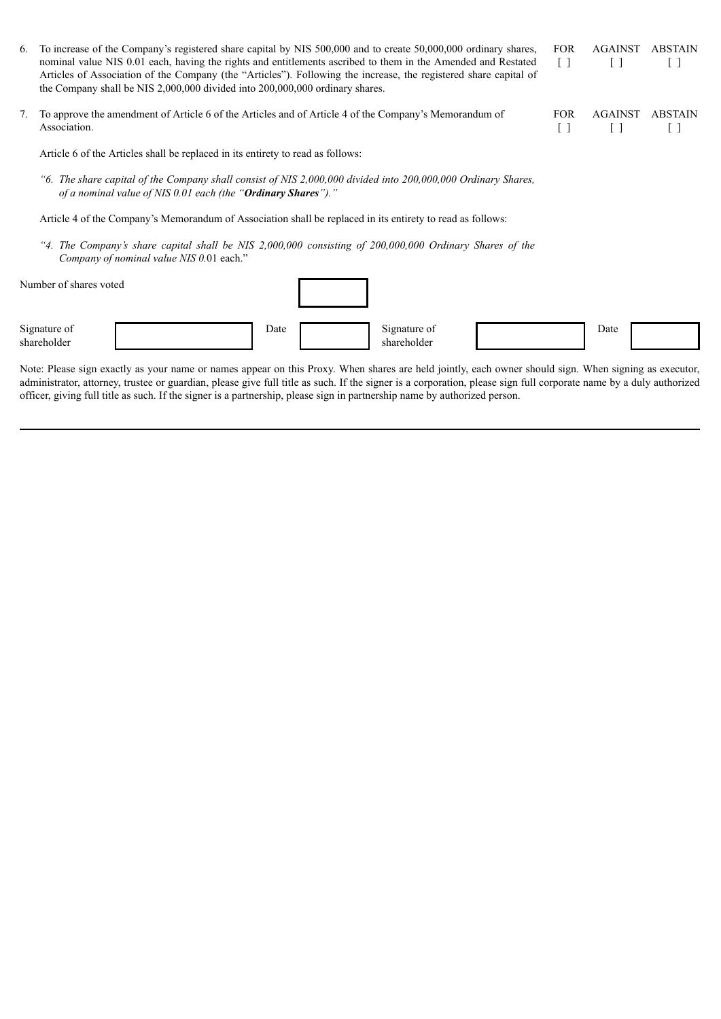| 6.                                                                                                         |                                                                                                                                                                                | To increase of the Company's registered share capital by NIS 500,000 and to create 50,000,000 ordinary shares,<br>nominal value NIS 0.01 each, having the rights and entitlements ascribed to them in the Amended and Restated<br>Articles of Association of the Company (the "Articles"). Following the increase, the registered share capital of<br>the Company shall be NIS 2,000,000 divided into 200,000,000 ordinary shares. |      |  |                                  |                      | <b>FOR</b><br>$\Box$     | <b>AGAINST</b><br>Γl | <b>ABSTAIN</b><br>$\mathbf{L}$ |
|------------------------------------------------------------------------------------------------------------|--------------------------------------------------------------------------------------------------------------------------------------------------------------------------------|------------------------------------------------------------------------------------------------------------------------------------------------------------------------------------------------------------------------------------------------------------------------------------------------------------------------------------------------------------------------------------------------------------------------------------|------|--|----------------------------------|----------------------|--------------------------|----------------------|--------------------------------|
| 7.                                                                                                         | To approve the amendment of Article 6 of the Articles and of Article 4 of the Company's Memorandum of<br>Association.                                                          |                                                                                                                                                                                                                                                                                                                                                                                                                                    |      |  | <b>FOR</b><br>$\left[ \ \right]$ | <b>AGAINST</b><br>[] | <b>ABSTAIN</b><br>$\Box$ |                      |                                |
|                                                                                                            | Article 6 of the Articles shall be replaced in its entirety to read as follows:                                                                                                |                                                                                                                                                                                                                                                                                                                                                                                                                                    |      |  |                                  |                      |                          |                      |                                |
|                                                                                                            | "6. The share capital of the Company shall consist of NIS 2,000,000 divided into 200,000,000 Ordinary Shares,<br>of a nominal value of NIS 0.01 each (the "Ordinary Shares")." |                                                                                                                                                                                                                                                                                                                                                                                                                                    |      |  |                                  |                      |                          |                      |                                |
| Article 4 of the Company's Memorandum of Association shall be replaced in its entirety to read as follows: |                                                                                                                                                                                |                                                                                                                                                                                                                                                                                                                                                                                                                                    |      |  |                                  |                      |                          |                      |                                |
|                                                                                                            | "4. The Company's share capital shall be NIS $2,000,000$ consisting of $200,000,000$ Ordinary Shares of the<br>Company of nominal value NIS 0.01 each."                        |                                                                                                                                                                                                                                                                                                                                                                                                                                    |      |  |                                  |                      |                          |                      |                                |
|                                                                                                            | Number of shares voted                                                                                                                                                         |                                                                                                                                                                                                                                                                                                                                                                                                                                    |      |  |                                  |                      |                          |                      |                                |
|                                                                                                            | Signature of<br>shareholder                                                                                                                                                    |                                                                                                                                                                                                                                                                                                                                                                                                                                    | Date |  | Signature of<br>shareholder      |                      |                          | Date                 |                                |

Note: Please sign exactly as your name or names appear on this Proxy. When shares are held jointly, each owner should sign. When signing as executor, administrator, attorney, trustee or guardian, please give full title as such. If the signer is a corporation, please sign full corporate name by a duly authorized officer, giving full title as such. If the signer is a partnership, please sign in partnership name by authorized person.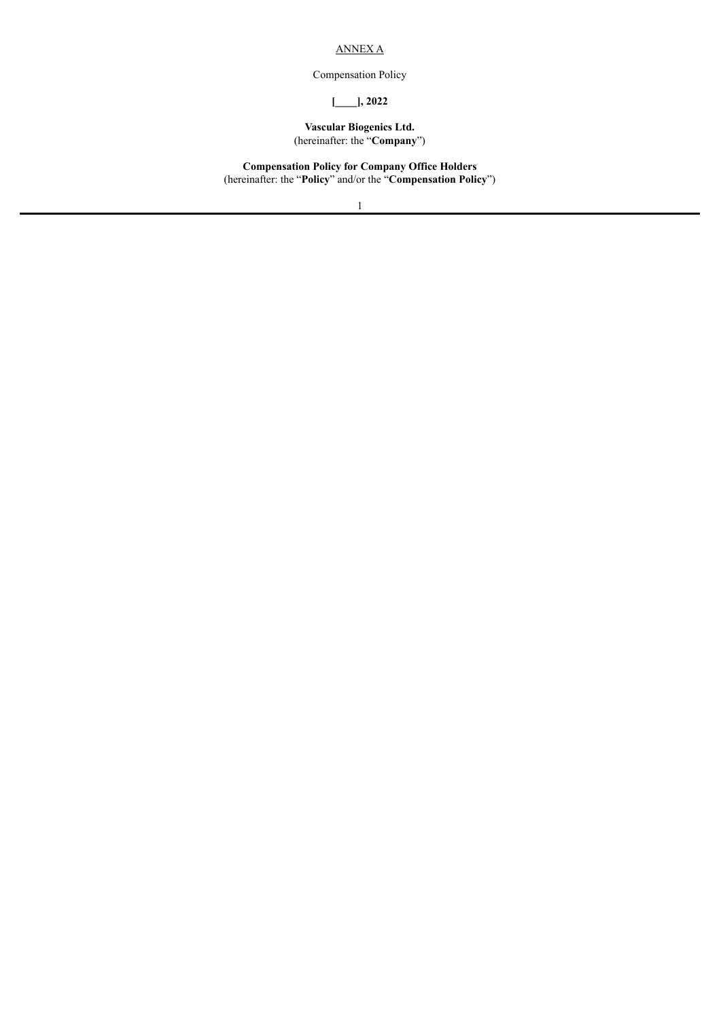# ANNEX A

Compensation Policy

# **[\_\_\_\_], 2022**

### **Vascular Biogenics Ltd.** (hereinafter: the "**Company**")

**Compensation Policy for Company Office Holders** (hereinafter: the "**Policy**" and/or the "**Compensation Policy**")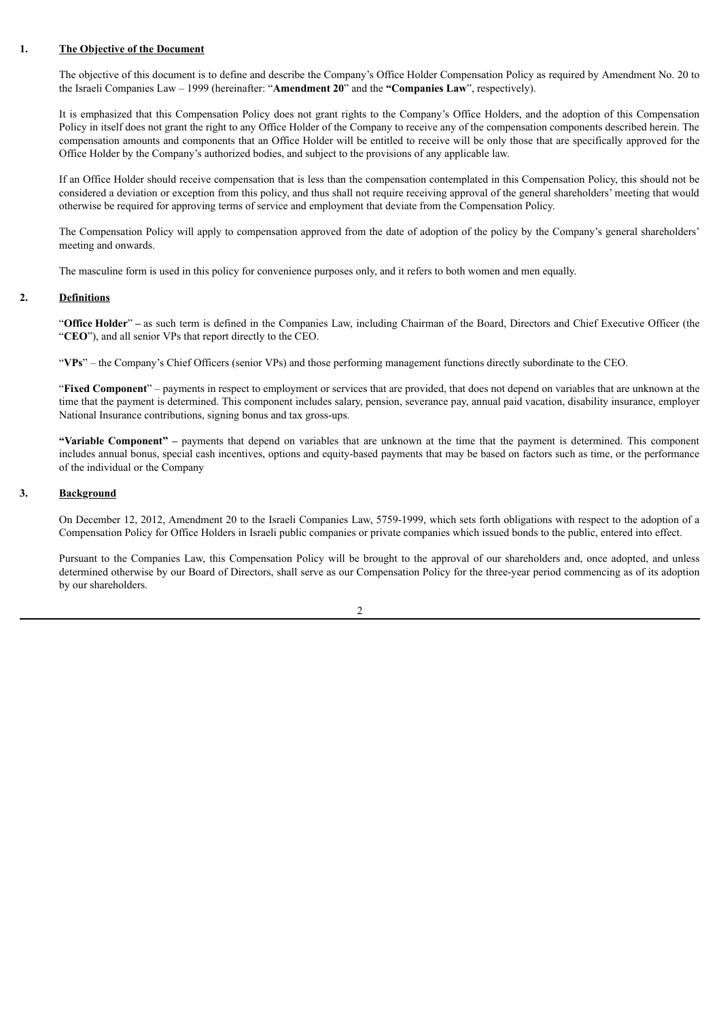### **1. The Objective of the Document**

The objective of this document is to define and describe the Company's Office Holder Compensation Policy as required by Amendment No. 20 to the Israeli Companies Law – 1999 (hereinafter: "**Amendment 20**" and the **"Companies Law**", respectively).

It is emphasized that this Compensation Policy does not grant rights to the Company's Office Holders, and the adoption of this Compensation Policy in itself does not grant the right to any Office Holder of the Company to receive any of the compensation components described herein. The compensation amounts and components that an Office Holder will be entitled to receive will be only those that are specifically approved for the Office Holder by the Company's authorized bodies, and subject to the provisions of any applicable law.

If an Office Holder should receive compensation that is less than the compensation contemplated in this Compensation Policy, this should not be considered a deviation or exception from this policy, and thus shall not require receiving approval of the general shareholders' meeting that would otherwise be required for approving terms of service and employment that deviate from the Compensation Policy.

The Compensation Policy will apply to compensation approved from the date of adoption of the policy by the Company's general shareholders' meeting and onwards.

The masculine form is used in this policy for convenience purposes only, and it refers to both women and men equally.

### **2. Definitions**

"**Office Holder**" **–** as such term is defined in the Companies Law, including Chairman of the Board, Directors and Chief Executive Officer (the "**CEO**"), and all senior VPs that report directly to the CEO.

"**VPs**" – the Company's Chief Officers (senior VPs) and those performing management functions directly subordinate to the CEO.

"**Fixed Component**" – payments in respect to employment or services that are provided, that does not depend on variables that are unknown at the time that the payment is determined. This component includes salary, pension, severance pay, annual paid vacation, disability insurance, employer National Insurance contributions, signing bonus and tax gross-ups.

**"Variable Component" –** payments that depend on variables that are unknown at the time that the payment is determined. This component includes annual bonus, special cash incentives, options and equity-based payments that may be based on factors such as time, or the performance of the individual or the Company

### **3. Background**

On December 12, 2012, Amendment 20 to the Israeli Companies Law, 5759-1999, which sets forth obligations with respect to the adoption of a Compensation Policy for Office Holders in Israeli public companies or private companies which issued bonds to the public, entered into effect.

Pursuant to the Companies Law, this Compensation Policy will be brought to the approval of our shareholders and, once adopted, and unless determined otherwise by our Board of Directors, shall serve as our Compensation Policy for the three-year period commencing as of its adoption by our shareholders.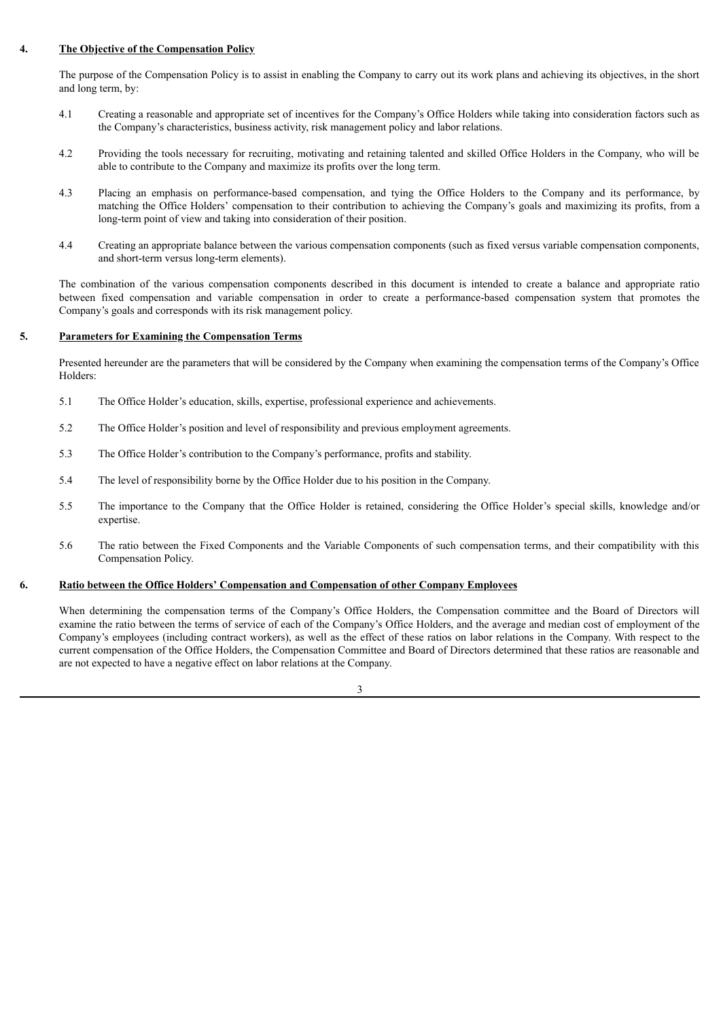# **4. The Objective of the Compensation Policy**

The purpose of the Compensation Policy is to assist in enabling the Company to carry out its work plans and achieving its objectives, in the short and long term, by:

- 4.1 Creating a reasonable and appropriate set of incentives for the Company's Office Holders while taking into consideration factors such as the Company's characteristics, business activity, risk management policy and labor relations.
- 4.2 Providing the tools necessary for recruiting, motivating and retaining talented and skilled Office Holders in the Company, who will be able to contribute to the Company and maximize its profits over the long term.
- 4.3 Placing an emphasis on performance-based compensation, and tying the Office Holders to the Company and its performance, by matching the Office Holders' compensation to their contribution to achieving the Company's goals and maximizing its profits, from a long-term point of view and taking into consideration of their position.
- 4.4 Creating an appropriate balance between the various compensation components (such as fixed versus variable compensation components, and short-term versus long-term elements).

The combination of the various compensation components described in this document is intended to create a balance and appropriate ratio between fixed compensation and variable compensation in order to create a performance-based compensation system that promotes the Company's goals and corresponds with its risk management policy.

# **5. Parameters for Examining the Compensation Terms**

Presented hereunder are the parameters that will be considered by the Company when examining the compensation terms of the Company's Office Holders:

- 5.1 The Office Holder's education, skills, expertise, professional experience and achievements.
- 5.2 The Office Holder's position and level of responsibility and previous employment agreements.
- 5.3 The Office Holder's contribution to the Company's performance, profits and stability.
- 5.4 The level of responsibility borne by the Office Holder due to his position in the Company.
- 5.5 The importance to the Company that the Office Holder is retained, considering the Office Holder's special skills, knowledge and/or expertise.
- 5.6 The ratio between the Fixed Components and the Variable Components of such compensation terms, and their compatibility with this Compensation Policy.

# **6. Ratio between the Office Holders' Compensation and Compensation of other Company Employees**

When determining the compensation terms of the Company's Office Holders, the Compensation committee and the Board of Directors will examine the ratio between the terms of service of each of the Company's Office Holders, and the average and median cost of employment of the Company's employees (including contract workers), as well as the effect of these ratios on labor relations in the Company. With respect to the current compensation of the Office Holders, the Compensation Committee and Board of Directors determined that these ratios are reasonable and are not expected to have a negative effect on labor relations at the Company.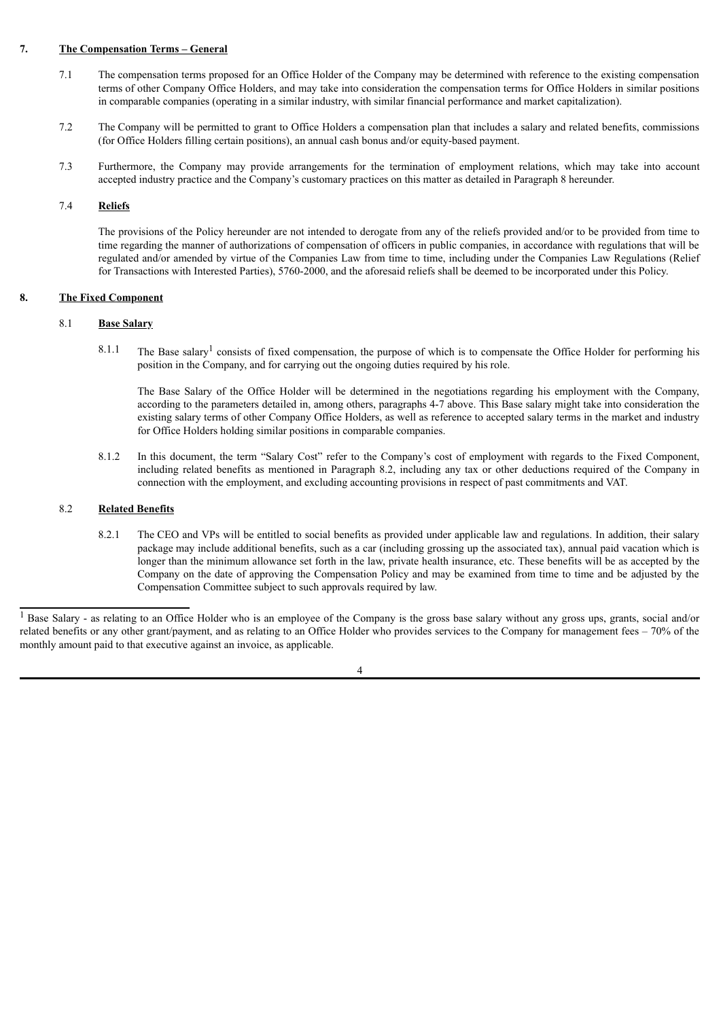# **7. The Compensation Terms – General**

- 7.1 The compensation terms proposed for an Office Holder of the Company may be determined with reference to the existing compensation terms of other Company Office Holders, and may take into consideration the compensation terms for Office Holders in similar positions in comparable companies (operating in a similar industry, with similar financial performance and market capitalization).
- 7.2 The Company will be permitted to grant to Office Holders a compensation plan that includes a salary and related benefits, commissions (for Office Holders filling certain positions), an annual cash bonus and/or equity-based payment.
- 7.3 Furthermore, the Company may provide arrangements for the termination of employment relations, which may take into account accepted industry practice and the Company's customary practices on this matter as detailed in Paragraph 8 hereunder.

# 7.4 **Reliefs**

The provisions of the Policy hereunder are not intended to derogate from any of the reliefs provided and/or to be provided from time to time regarding the manner of authorizations of compensation of officers in public companies, in accordance with regulations that will be regulated and/or amended by virtue of the Companies Law from time to time, including under the Companies Law Regulations (Relief for Transactions with Interested Parties), 5760-2000, and the aforesaid reliefs shall be deemed to be incorporated under this Policy.

# **8. The Fixed Component**

# 8.1 **Base Salary**

8.1.1 The Base salary<sup>1</sup> consists of fixed compensation, the purpose of which is to compensate the Office Holder for performing his position in the Company, and for carrying out the ongoing duties required by his role.

The Base Salary of the Office Holder will be determined in the negotiations regarding his employment with the Company, according to the parameters detailed in, among others, paragraphs 4-7 above. This Base salary might take into consideration the existing salary terms of other Company Office Holders, as well as reference to accepted salary terms in the market and industry for Office Holders holding similar positions in comparable companies.

8.1.2 In this document, the term "Salary Cost" refer to the Company's cost of employment with regards to the Fixed Component, including related benefits as mentioned in Paragraph 8.2, including any tax or other deductions required of the Company in connection with the employment, and excluding accounting provisions in respect of past commitments and VAT.

# 8.2 **Related Benefits**

8.2.1 The CEO and VPs will be entitled to social benefits as provided under applicable law and regulations. In addition, their salary package may include additional benefits, such as a car (including grossing up the associated tax), annual paid vacation which is longer than the minimum allowance set forth in the law, private health insurance, etc. These benefits will be as accepted by the Company on the date of approving the Compensation Policy and may be examined from time to time and be adjusted by the Compensation Committee subject to such approvals required by law.

<sup>&</sup>lt;sup>1</sup> Base Salary - as relating to an Office Holder who is an employee of the Company is the gross base salary without any gross ups, grants, social and/or related benefits or any other grant/payment, and as relating to an Office Holder who provides services to the Company for management fees – 70% of the monthly amount paid to that executive against an invoice, as applicable.

<sup>4</sup>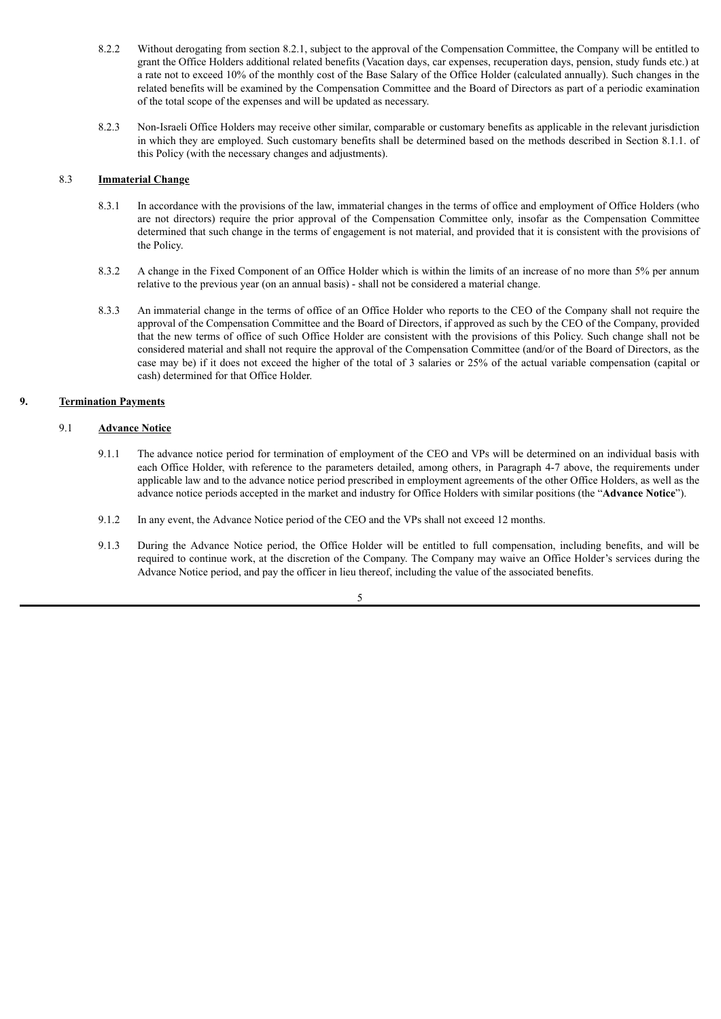- 8.2.2 Without derogating from section 8.2.1, subject to the approval of the Compensation Committee, the Company will be entitled to grant the Office Holders additional related benefits (Vacation days, car expenses, recuperation days, pension, study funds etc.) at a rate not to exceed 10% of the monthly cost of the Base Salary of the Office Holder (calculated annually). Such changes in the related benefits will be examined by the Compensation Committee and the Board of Directors as part of a periodic examination of the total scope of the expenses and will be updated as necessary.
- 8.2.3 Non-Israeli Office Holders may receive other similar, comparable or customary benefits as applicable in the relevant jurisdiction in which they are employed. Such customary benefits shall be determined based on the methods described in Section 8.1.1. of this Policy (with the necessary changes and adjustments).

### 8.3 **Immaterial Change**

- 8.3.1 In accordance with the provisions of the law, immaterial changes in the terms of office and employment of Office Holders (who are not directors) require the prior approval of the Compensation Committee only, insofar as the Compensation Committee determined that such change in the terms of engagement is not material, and provided that it is consistent with the provisions of the Policy.
- 8.3.2 A change in the Fixed Component of an Office Holder which is within the limits of an increase of no more than 5% per annum relative to the previous year (on an annual basis) - shall not be considered a material change.
- 8.3.3 An immaterial change in the terms of office of an Office Holder who reports to the CEO of the Company shall not require the approval of the Compensation Committee and the Board of Directors, if approved as such by the CEO of the Company, provided that the new terms of office of such Office Holder are consistent with the provisions of this Policy. Such change shall not be considered material and shall not require the approval of the Compensation Committee (and/or of the Board of Directors, as the case may be) if it does not exceed the higher of the total of 3 salaries or 25% of the actual variable compensation (capital or cash) determined for that Office Holder.

# **9. Termination Payments**

# 9.1 **Advance Notice**

- 9.1.1 The advance notice period for termination of employment of the CEO and VPs will be determined on an individual basis with each Office Holder, with reference to the parameters detailed, among others, in Paragraph 4-7 above, the requirements under applicable law and to the advance notice period prescribed in employment agreements of the other Office Holders, as well as the advance notice periods accepted in the market and industry for Office Holders with similar positions (the "**Advance Notice**").
- 9.1.2 In any event, the Advance Notice period of the CEO and the VPs shall not exceed 12 months.
- 9.1.3 During the Advance Notice period, the Office Holder will be entitled to full compensation, including benefits, and will be required to continue work, at the discretion of the Company. The Company may waive an Office Holder's services during the Advance Notice period, and pay the officer in lieu thereof, including the value of the associated benefits.

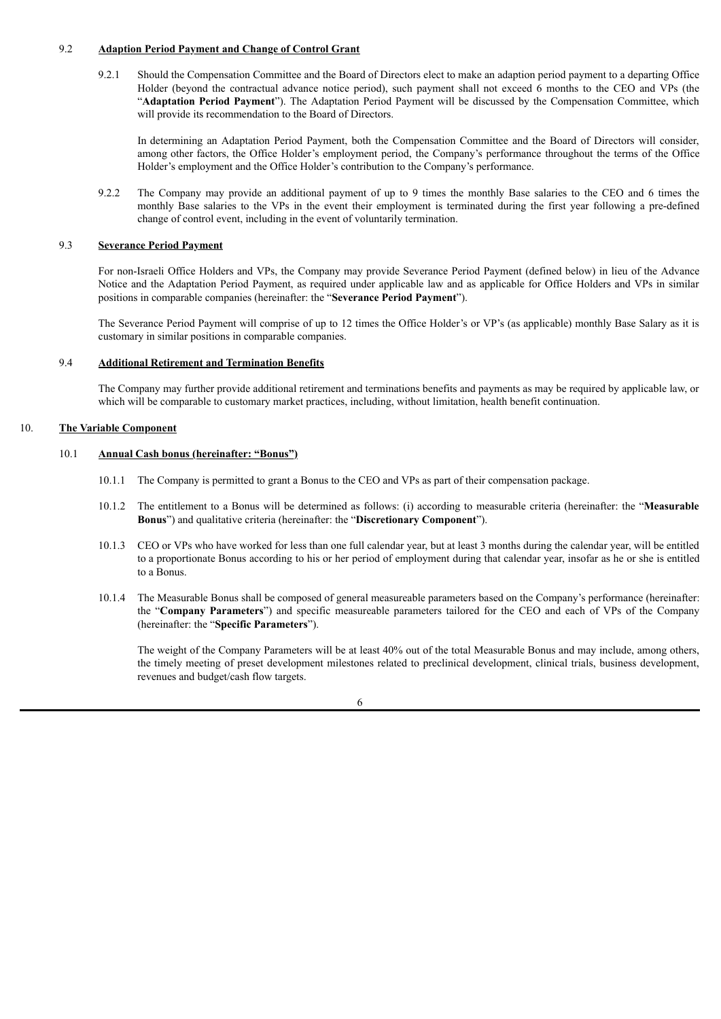# 9.2 **Adaption Period Payment and Change of Control Grant**

9.2.1 Should the Compensation Committee and the Board of Directors elect to make an adaption period payment to a departing Office Holder (beyond the contractual advance notice period), such payment shall not exceed 6 months to the CEO and VPs (the "**Adaptation Period Payment**"). The Adaptation Period Payment will be discussed by the Compensation Committee, which will provide its recommendation to the Board of Directors.

In determining an Adaptation Period Payment, both the Compensation Committee and the Board of Directors will consider, among other factors, the Office Holder's employment period, the Company's performance throughout the terms of the Office Holder's employment and the Office Holder's contribution to the Company's performance.

9.2.2 The Company may provide an additional payment of up to 9 times the monthly Base salaries to the CEO and 6 times the monthly Base salaries to the VPs in the event their employment is terminated during the first year following a pre-defined change of control event, including in the event of voluntarily termination.

### 9.3 **Severance Period Payment**

For non-Israeli Office Holders and VPs, the Company may provide Severance Period Payment (defined below) in lieu of the Advance Notice and the Adaptation Period Payment, as required under applicable law and as applicable for Office Holders and VPs in similar positions in comparable companies (hereinafter: the "**Severance Period Payment**").

The Severance Period Payment will comprise of up to 12 times the Office Holder's or VP's (as applicable) monthly Base Salary as it is customary in similar positions in comparable companies.

### 9.4 **Additional Retirement and Termination Benefits**

The Company may further provide additional retirement and terminations benefits and payments as may be required by applicable law, or which will be comparable to customary market practices, including, without limitation, health benefit continuation.

### 10. **The Variable Component**

### 10.1 **Annual Cash bonus (hereinafter: "Bonus")**

- 10.1.1 The Company is permitted to grant a Bonus to the CEO and VPs as part of their compensation package.
- 10.1.2 The entitlement to a Bonus will be determined as follows: (i) according to measurable criteria (hereinafter: the "**Measurable Bonus**") and qualitative criteria (hereinafter: the "**Discretionary Component**").
- 10.1.3 CEO or VPs who have worked for less than one full calendar year, but at least 3 months during the calendar year, will be entitled to a proportionate Bonus according to his or her period of employment during that calendar year, insofar as he or she is entitled to a Bonus.
- 10.1.4 The Measurable Bonus shall be composed of general measureable parameters based on the Company's performance (hereinafter: the "**Company Parameters**") and specific measureable parameters tailored for the CEO and each of VPs of the Company (hereinafter: the "**Specific Parameters**").

The weight of the Company Parameters will be at least 40% out of the total Measurable Bonus and may include, among others, the timely meeting of preset development milestones related to preclinical development, clinical trials, business development, revenues and budget/cash flow targets.

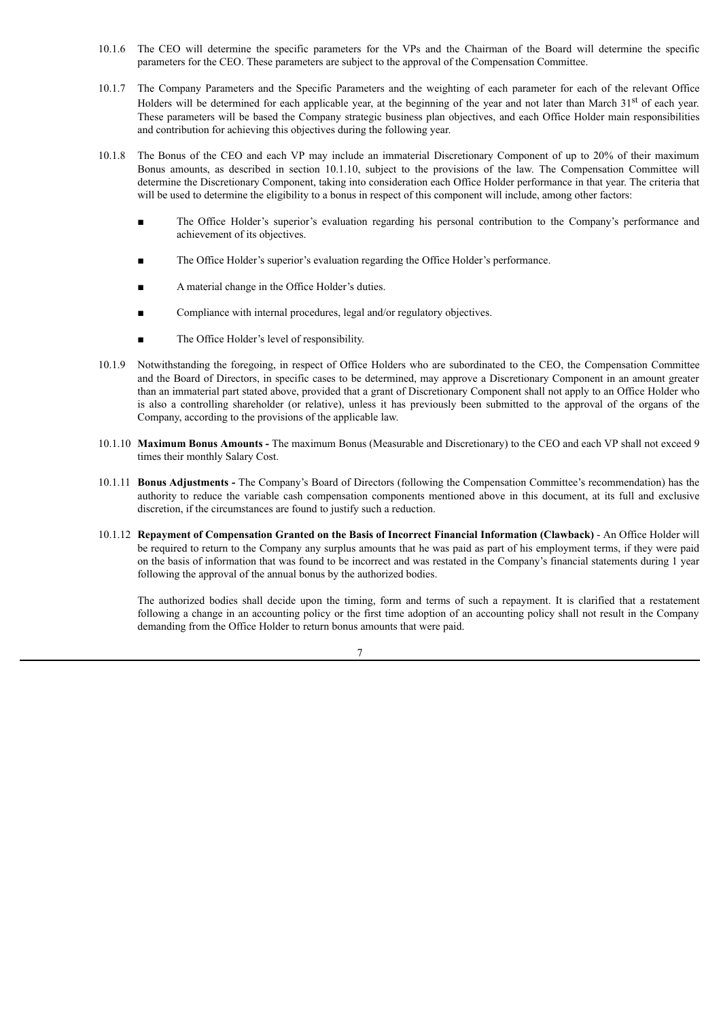- 10.1.6 The CEO will determine the specific parameters for the VPs and the Chairman of the Board will determine the specific parameters for the CEO. These parameters are subject to the approval of the Compensation Committee.
- 10.1.7 The Company Parameters and the Specific Parameters and the weighting of each parameter for each of the relevant Office Holders will be determined for each applicable year, at the beginning of the year and not later than March 31<sup>st</sup> of each year. These parameters will be based the Company strategic business plan objectives, and each Office Holder main responsibilities and contribution for achieving this objectives during the following year.
- 10.1.8 The Bonus of the CEO and each VP may include an immaterial Discretionary Component of up to 20% of their maximum Bonus amounts, as described in section 10.1.10, subject to the provisions of the law. The Compensation Committee will determine the Discretionary Component, taking into consideration each Office Holder performance in that year. The criteria that will be used to determine the eligibility to a bonus in respect of this component will include, among other factors:
	- The Office Holder's superior's evaluation regarding his personal contribution to the Company's performance and achievement of its objectives.
	- The Office Holder's superior's evaluation regarding the Office Holder's performance.
	- A material change in the Office Holder's duties.
	- Compliance with internal procedures, legal and/or regulatory objectives.
	- The Office Holder's level of responsibility.
- 10.1.9 Notwithstanding the foregoing, in respect of Office Holders who are subordinated to the CEO, the Compensation Committee and the Board of Directors, in specific cases to be determined, may approve a Discretionary Component in an amount greater than an immaterial part stated above, provided that a grant of Discretionary Component shall not apply to an Office Holder who is also a controlling shareholder (or relative), unless it has previously been submitted to the approval of the organs of the Company, according to the provisions of the applicable law.
- 10.1.10 **Maximum Bonus Amounts -** The maximum Bonus (Measurable and Discretionary) to the CEO and each VP shall not exceed 9 times their monthly Salary Cost.
- 10.1.11 **Bonus Adjustments -** The Company's Board of Directors (following the Compensation Committee's recommendation) has the authority to reduce the variable cash compensation components mentioned above in this document, at its full and exclusive discretion, if the circumstances are found to justify such a reduction.
- 10.1.12 **Repayment of Compensation Granted on the Basis of Incorrect Financial Information (Clawback)** An Office Holder will be required to return to the Company any surplus amounts that he was paid as part of his employment terms, if they were paid on the basis of information that was found to be incorrect and was restated in the Company's financial statements during 1 year following the approval of the annual bonus by the authorized bodies.

The authorized bodies shall decide upon the timing, form and terms of such a repayment. It is clarified that a restatement following a change in an accounting policy or the first time adoption of an accounting policy shall not result in the Company demanding from the Office Holder to return bonus amounts that were paid.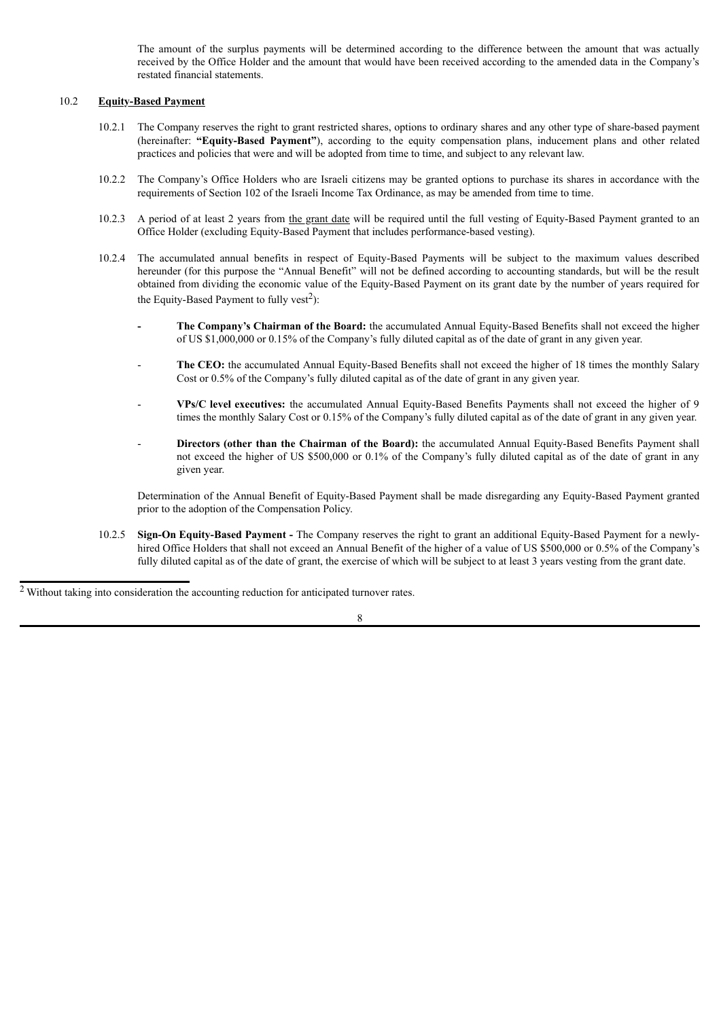The amount of the surplus payments will be determined according to the difference between the amount that was actually received by the Office Holder and the amount that would have been received according to the amended data in the Company's restated financial statements.

### 10.2 **Equity-Based Payment**

- 10.2.1 The Company reserves the right to grant restricted shares, options to ordinary shares and any other type of share-based payment (hereinafter: **"Equity-Based Payment"**), according to the equity compensation plans, inducement plans and other related practices and policies that were and will be adopted from time to time, and subject to any relevant law.
- 10.2.2 The Company's Office Holders who are Israeli citizens may be granted options to purchase its shares in accordance with the requirements of Section 102 of the Israeli Income Tax Ordinance, as may be amended from time to time.
- 10.2.3 A period of at least 2 years from the grant date will be required until the full vesting of Equity-Based Payment granted to an Office Holder (excluding Equity-Based Payment that includes performance-based vesting).
- 10.2.4 The accumulated annual benefits in respect of Equity-Based Payments will be subject to the maximum values described hereunder (for this purpose the "Annual Benefit" will not be defined according to accounting standards, but will be the result obtained from dividing the economic value of the Equity-Based Payment on its grant date by the number of years required for the Equity-Based Payment to fully vest<sup>2</sup>):
	- **- The Company's Chairman of the Board:** the accumulated Annual Equity-Based Benefits shall not exceed the higher of US \$1,000,000 or 0.15% of the Company's fully diluted capital as of the date of grant in any given year.
	- The CEO: the accumulated Annual Equity-Based Benefits shall not exceed the higher of 18 times the monthly Salary Cost or 0.5% of the Company's fully diluted capital as of the date of grant in any given year.
	- **VPs/C level executives:** the accumulated Annual Equity-Based Benefits Payments shall not exceed the higher of 9 times the monthly Salary Cost or 0.15% of the Company's fully diluted capital as of the date of grant in any given year.
	- **Directors (other than the Chairman of the Board):** the accumulated Annual Equity-Based Benefits Payment shall not exceed the higher of US \$500,000 or 0.1% of the Company's fully diluted capital as of the date of grant in any given year.

Determination of the Annual Benefit of Equity-Based Payment shall be made disregarding any Equity-Based Payment granted prior to the adoption of the Compensation Policy.

10.2.5 **Sign-On Equity-Based Payment -** The Company reserves the right to grant an additional Equity-Based Payment for a newlyhired Office Holders that shall not exceed an Annual Benefit of the higher of a value of US \$500,000 or 0.5% of the Company's fully diluted capital as of the date of grant, the exercise of which will be subject to at least 3 years vesting from the grant date.

<sup>&</sup>lt;sup>2</sup> Without taking into consideration the accounting reduction for anticipated turnover rates.

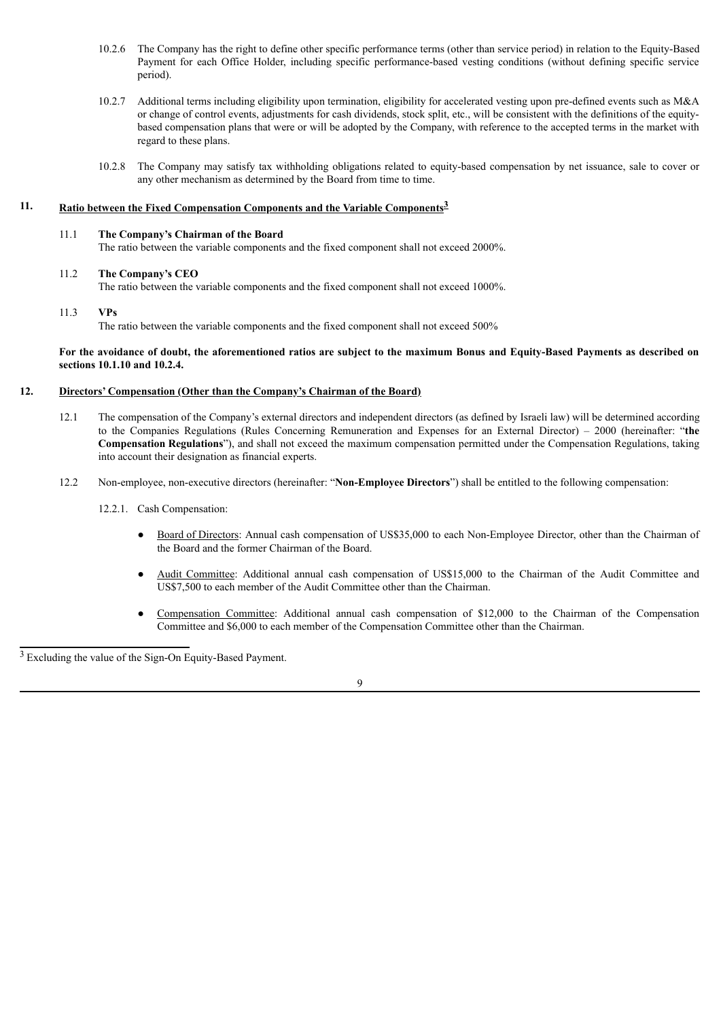- 10.2.6 The Company has the right to define other specific performance terms (other than service period) in relation to the Equity-Based Payment for each Office Holder, including specific performance-based vesting conditions (without defining specific service period).
- 10.2.7 Additional terms including eligibility upon termination, eligibility for accelerated vesting upon pre-defined events such as M&A or change of control events, adjustments for cash dividends, stock split, etc., will be consistent with the definitions of the equitybased compensation plans that were or will be adopted by the Company, with reference to the accepted terms in the market with regard to these plans.
- 10.2.8 The Company may satisfy tax withholding obligations related to equity-based compensation by net issuance, sale to cover or any other mechanism as determined by the Board from time to time.

# **11. Ratio between the Fixed Compensation Components and the Variable Components 3**

### 11.1 **The Company's Chairman of the Board**

The ratio between the variable components and the fixed component shall not exceed 2000%.

# 11.2 **The Company's CEO**

The ratio between the variable components and the fixed component shall not exceed 1000%.

# 11.3 **VPs**

The ratio between the variable components and the fixed component shall not exceed 500%

### For the avoidance of doubt, the aforementioned ratios are subject to the maximum Bonus and Equity-Based Payments as described on **sections 10.1.10 and 10.2.4.**

## **12. Directors' Compensation (Other than the Company's Chairman of the Board)**

- 12.1 The compensation of the Company's external directors and independent directors (as defined by Israeli law) will be determined according to the Companies Regulations (Rules Concerning Remuneration and Expenses for an External Director) – 2000 (hereinafter: "**the Compensation Regulations**"), and shall not exceed the maximum compensation permitted under the Compensation Regulations, taking into account their designation as financial experts.
- 12.2 Non-employee, non-executive directors (hereinafter: "**Non-Employee Directors**") shall be entitled to the following compensation:

12.2.1. Cash Compensation:

- Board of Directors: Annual cash compensation of US\$35,000 to each Non-Employee Director, other than the Chairman of the Board and the former Chairman of the Board.
- Audit Committee: Additional annual cash compensation of US\$15,000 to the Chairman of the Audit Committee and US\$7,500 to each member of the Audit Committee other than the Chairman.
- Compensation Committee: Additional annual cash compensation of \$12,000 to the Chairman of the Compensation Committee and \$6,000 to each member of the Compensation Committee other than the Chairman.

<sup>3</sup> Excluding the value of the Sign-On Equity-Based Payment.